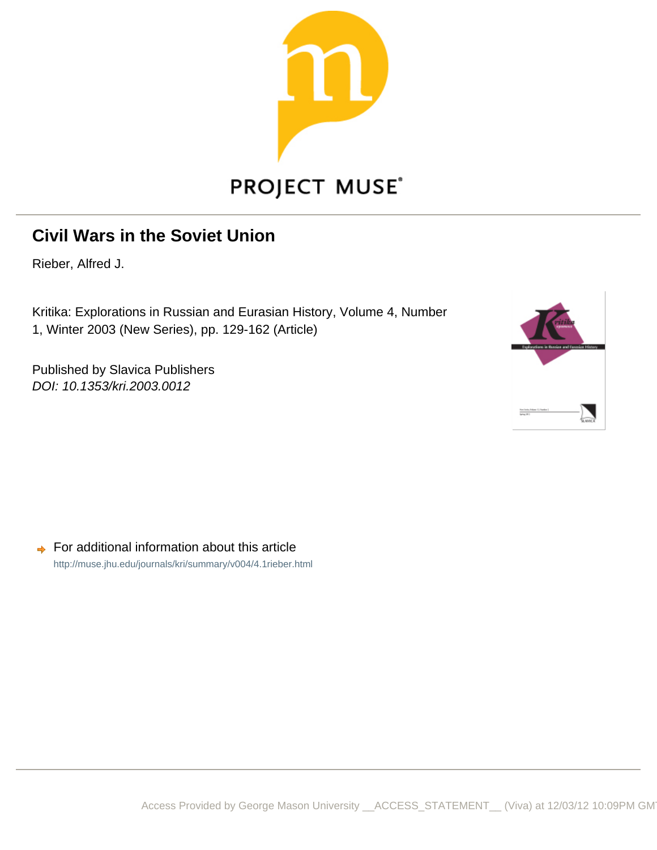

# **PROJECT MUSE®**

# **Civil Wars in the Soviet Union**

Rieber, Alfred J.

Kritika: Explorations in Russian and Eurasian History, Volume 4, Number 1, Winter 2003 (New Series), pp. 129-162 (Article)

Published by Slavica Publishers DOI: 10.1353/kri.2003.0012



For additional information about this article  $\Rightarrow$ <http://muse.jhu.edu/journals/kri/summary/v004/4.1rieber.html>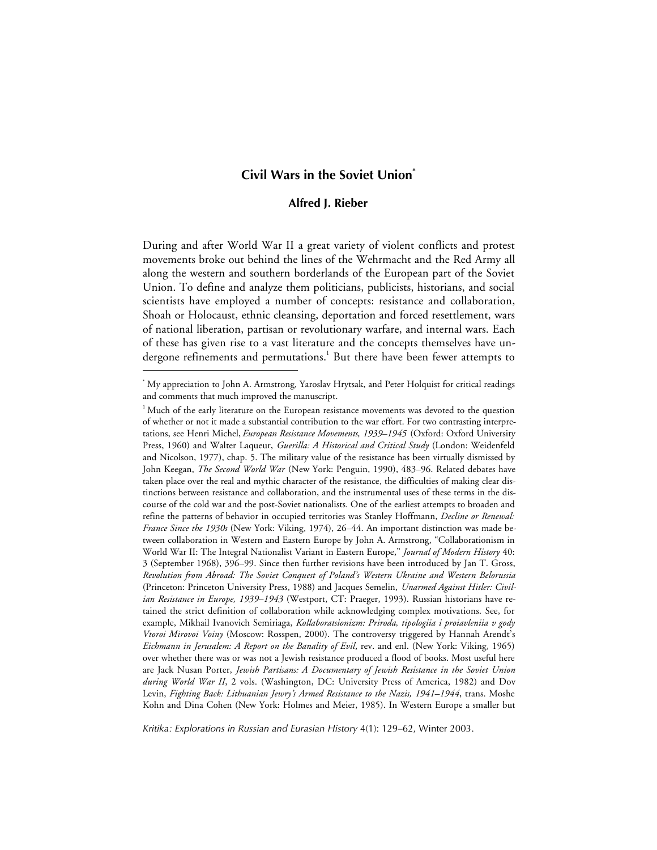## **Civil Wars in the Soviet Union\***

#### **Alfred J. Rieber**

During and after World War II a great variety of violent conflicts and protest movements broke out behind the lines of the Wehrmacht and the Red Army all along the western and southern borderlands of the European part of the Soviet Union. To define and analyze them politicians, publicists, historians, and social scientists have employed a number of concepts: resistance and collaboration, Shoah or Holocaust, ethnic cleansing, deportation and forced resettlement, wars of national liberation, partisan or revolutionary warfare, and internal wars. Each of these has given rise to a vast literature and the concepts themselves have undergone refinements and permutations.<sup>1</sup> But there have been fewer attempts to

*Kritika: Explorations in Russian and Eurasian History* 4(1): 129–62, Winter 2003.

 <sup>\*</sup> My appreciation to John A. Armstrong, Yaroslav Hrytsak, and Peter Holquist for critical readings and comments that much improved the manuscript.

<sup>&</sup>lt;sup>1</sup> Much of the early literature on the European resistance movements was devoted to the question of whether or not it made a substantial contribution to the war effort. For two contrasting interpretations, see Henri Michel, *European Resistance Movements, 1939–1945* (Oxford: Oxford University Press, 1960) and Walter Laqueur, *Guerilla: A Historical and Critical Study* (London: Weidenfeld and Nicolson, 1977), chap. 5. The military value of the resistance has been virtually dismissed by John Keegan, *The Second World War* (New York: Penguin, 1990), 483–96. Related debates have taken place over the real and mythic character of the resistance, the difficulties of making clear distinctions between resistance and collaboration, and the instrumental uses of these terms in the discourse of the cold war and the post-Soviet nationalists. One of the earliest attempts to broaden and refine the patterns of behavior in occupied territories was Stanley Hoffmann, *Decline or Renewal: France Since the 1930s* (New York: Viking, 1974), 26–44. An important distinction was made between collaboration in Western and Eastern Europe by John A. Armstrong, "Collaborationism in World War II: The Integral Nationalist Variant in Eastern Europe," *Journal of Modern History* 40: 3 (September 1968), 396–99. Since then further revisions have been introduced by Jan T. Gross, *Revolution from Abroad: The Soviet Conquest of Poland's Western Ukraine and Western Belorussia* (Princeton: Princeton University Press, 1988) and Jacques Semelin, *Unarmed Against Hitler: Civilian Resistance in Europe, 1939–1943* (Westport, CT: Praeger, 1993). Russian historians have retained the strict definition of collaboration while acknowledging complex motivations. See, for example, Mikhail Ivanovich Semiriaga, *Kollaboratsionizm: Priroda, tipologiia i proiavleniia v gody Vtoroi Mirovoi Voiny* (Moscow: Rosspen, 2000). The controversy triggered by Hannah Arendt's *Eichmann in Jerusalem: A Report on the Banality of Evil*, rev. and enl. (New York: Viking, 1965) over whether there was or was not a Jewish resistance produced a flood of books. Most useful here are Jack Nusan Porter, *Jewish Partisans: A Documentary of Jewish Resistance in the Soviet Union during World War II*, 2 vols. (Washington, DC: University Press of America, 1982) and Dov Levin, *Fighting Back: Lithuanian Jewry's Armed Resistance to the Nazis, 1941–1944*, trans. Moshe Kohn and Dina Cohen (New York: Holmes and Meier, 1985). In Western Europe a smaller but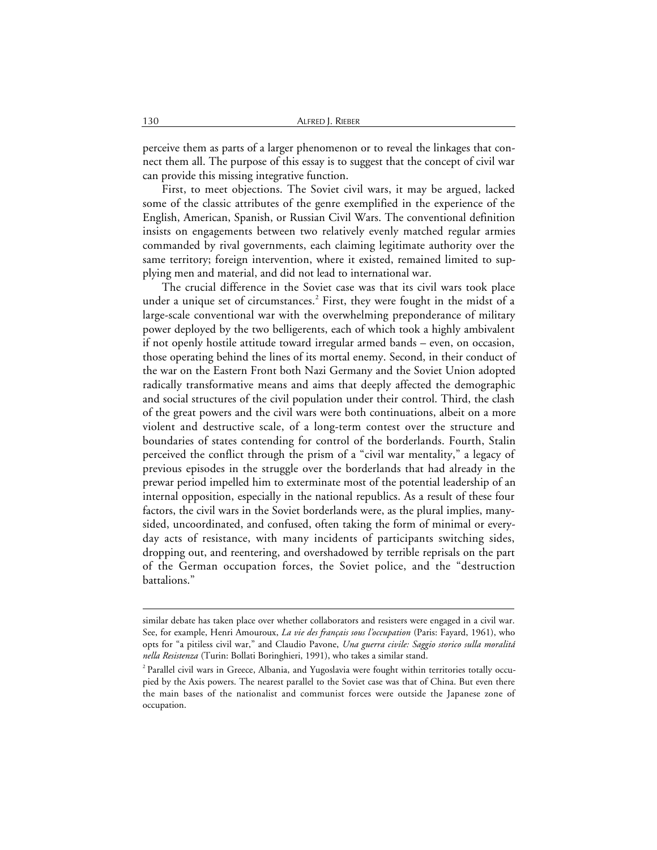perceive them as parts of a larger phenomenon or to reveal the linkages that connect them all. The purpose of this essay is to suggest that the concept of civil war can provide this missing integrative function.

First, to meet objections. The Soviet civil wars, it may be argued, lacked some of the classic attributes of the genre exemplified in the experience of the English, American, Spanish, or Russian Civil Wars. The conventional definition insists on engagements between two relatively evenly matched regular armies commanded by rival governments, each claiming legitimate authority over the same territory; foreign intervention, where it existed, remained limited to supplying men and material, and did not lead to international war.

The crucial difference in the Soviet case was that its civil wars took place under a unique set of circumstances.<sup>2</sup> First, they were fought in the midst of a large-scale conventional war with the overwhelming preponderance of military power deployed by the two belligerents, each of which took a highly ambivalent if not openly hostile attitude toward irregular armed bands – even, on occasion, those operating behind the lines of its mortal enemy. Second, in their conduct of the war on the Eastern Front both Nazi Germany and the Soviet Union adopted radically transformative means and aims that deeply affected the demographic and social structures of the civil population under their control. Third, the clash of the great powers and the civil wars were both continuations, albeit on a more violent and destructive scale, of a long-term contest over the structure and boundaries of states contending for control of the borderlands. Fourth, Stalin perceived the conflict through the prism of a "civil war mentality," a legacy of previous episodes in the struggle over the borderlands that had already in the prewar period impelled him to exterminate most of the potential leadership of an internal opposition, especially in the national republics. As a result of these four factors, the civil wars in the Soviet borderlands were, as the plural implies, manysided, uncoordinated, and confused, often taking the form of minimal or everyday acts of resistance, with many incidents of participants switching sides, dropping out, and reentering, and overshadowed by terrible reprisals on the part of the German occupation forces, the Soviet police, and the "destruction battalions."

-

similar debate has taken place over whether collaborators and resisters were engaged in a civil war. See, for example, Henri Amouroux, *La vie des français sous l'occupation* (Paris: Fayard, 1961), who opts for "a pitiless civil war," and Claudio Pavone, *Una guerra civile: Saggio storico sulla moralitá nella Resistenza* (Turin: Bollati Boringhieri, 1991), who takes a similar stand.

 $^2$ Parallel civil wars in Greece, Albania, and Yugoslavia were fought within territories totally occupied by the Axis powers. The nearest parallel to the Soviet case was that of China. But even there the main bases of the nationalist and communist forces were outside the Japanese zone of occupation.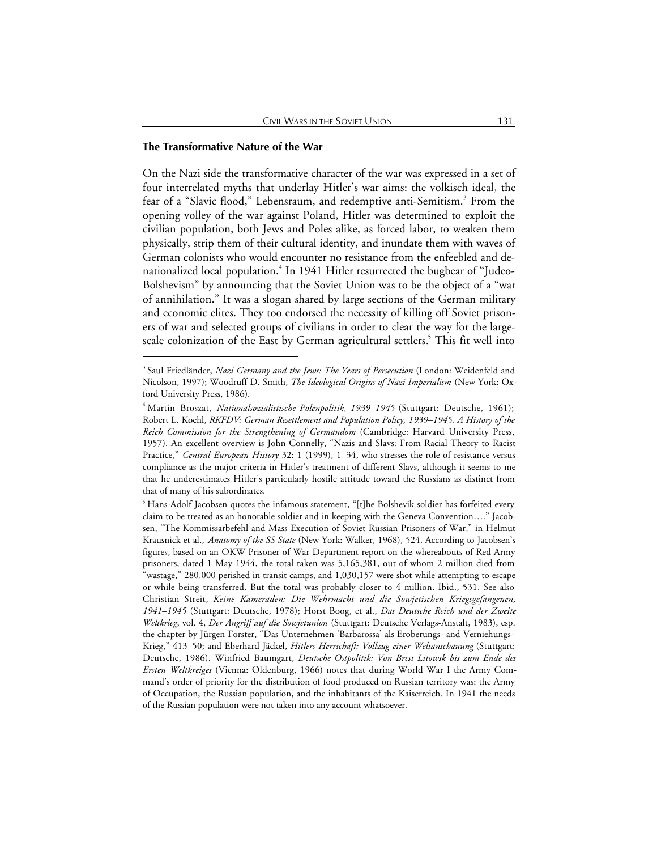#### **The Transformative Nature of the War**

On the Nazi side the transformative character of the war was expressed in a set of four interrelated myths that underlay Hitler's war aims: the volkisch ideal, the fear of a "Slavic flood," Lebensraum, and redemptive anti-Semitism.<sup>3</sup> From the opening volley of the war against Poland, Hitler was determined to exploit the civilian population, both Jews and Poles alike, as forced labor, to weaken them physically, strip them of their cultural identity, and inundate them with waves of German colonists who would encounter no resistance from the enfeebled and denationalized local population.<sup>4</sup> In 1941 Hitler resurrected the bugbear of "Judeo-Bolshevism" by announcing that the Soviet Union was to be the object of a "war of annihilation." It was a slogan shared by large sections of the German military and economic elites. They too endorsed the necessity of killing off Soviet prisoners of war and selected groups of civilians in order to clear the way for the largescale colonization of the East by German agricultural settlers.<sup>5</sup> This fit well into

<sup>5</sup> Hans-Adolf Jacobsen quotes the infamous statement, "[t]he Bolshevik soldier has forfeited every claim to be treated as an honorable soldier and in keeping with the Geneva Convention…." Jacobsen, "The Kommissarbefehl and Mass Execution of Soviet Russian Prisoners of War," in Helmut Krausnick et al., *Anatomy of the SS State* (New York: Walker, 1968), 524. According to Jacobsen's figures, based on an OKW Prisoner of War Department report on the whereabouts of Red Army prisoners, dated 1 May 1944, the total taken was 5,165,381, out of whom 2 million died from "wastage," 280,000 perished in transit camps, and 1,030,157 were shot while attempting to escape or while being transferred. But the total was probably closer to 4 million. Ibid., 531. See also Christian Streit, *Keine Kameraden: Die Wehrmacht und die Sowjetischen Kriegsgefangenen, 1941–1945* (Stuttgart: Deutsche, 1978); Horst Boog, et al., *Das Deutsche Reich und der Zweite Weltkrieg*, vol. 4, *Der Angriff auf die Sowjetunion* (Stuttgart: Deutsche Verlags-Anstalt, 1983), esp. the chapter by Jürgen Forster, "Das Unternehmen 'Barbarossa' als Eroberungs- and Verniehungs-Krieg," 413–50; and Eberhard Jäckel, *Hitlers Herrschaft: Vollzug einer Weltanschauung* (Stuttgart: Deutsche, 1986). Winfried Baumgart, *Deutsche Ostpolitik: Von Brest Litowsk bis zum Ende des Ersten Weltkreiges* (Vienna: Oldenburg, 1966) notes that during World War I the Army Command's order of priority for the distribution of food produced on Russian territory was: the Army of Occupation, the Russian population, and the inhabitants of the Kaiserreich. In 1941 the needs of the Russian population were not taken into any account whatsoever.

 $\frac{1}{3}$ <sup>3</sup> Saul Friedländer, *Nazi Germany and the Jews: The Years of Persecution* (London: Weidenfeld and Nicolson, 1997); Woodruff D. Smith, *The Ideological Origins of Nazi Imperialism* (New York: Oxford University Press, 1986).

<sup>4</sup> Martin Broszat, *Nationalsozialistische Polenpolitik, 1939–1945* (Stuttgart: Deutsche, 1961); Robert L. Koehl, *RKFDV: German Resettlement and Population Policy, 1939–1945. A History of the Reich Commission for the Strengthening of Germandom* (Cambridge: Harvard University Press, 1957). An excellent overview is John Connelly, "Nazis and Slavs: From Racial Theory to Racist Practice," *Central European History* 32: 1 (1999), 1–34, who stresses the role of resistance versus compliance as the major criteria in Hitler's treatment of different Slavs, although it seems to me that he underestimates Hitler's particularly hostile attitude toward the Russians as distinct from that of many of his subordinates.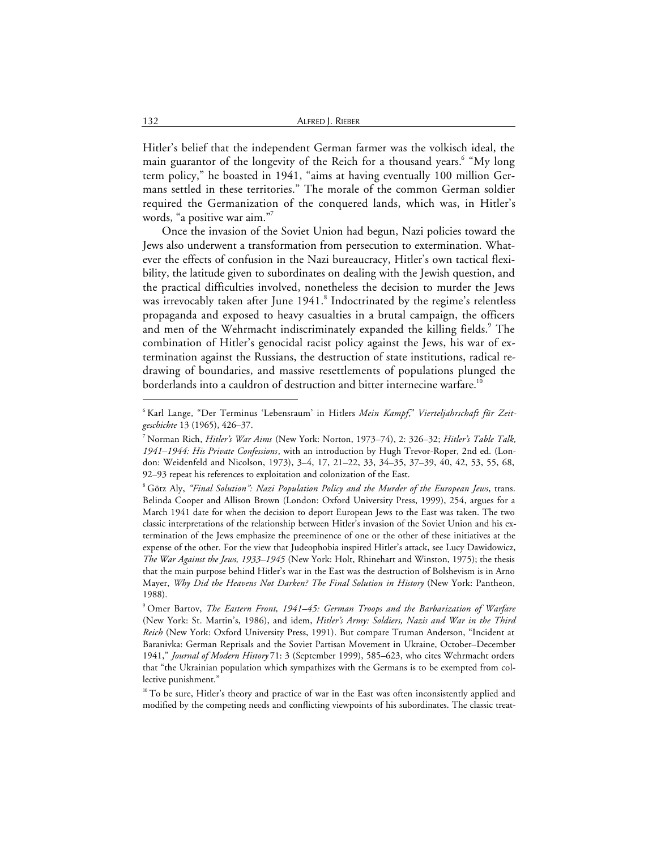Hitler's belief that the independent German farmer was the volkisch ideal, the main guarantor of the longevity of the Reich for a thousand years.<sup>6</sup> "My long term policy," he boasted in 1941, "aims at having eventually 100 million Germans settled in these territories." The morale of the common German soldier required the Germanization of the conquered lands, which was, in Hitler's words, "a positive war aim."<sup>7</sup>

Once the invasion of the Soviet Union had begun, Nazi policies toward the Jews also underwent a transformation from persecution to extermination. Whatever the effects of confusion in the Nazi bureaucracy, Hitler's own tactical flexibility, the latitude given to subordinates on dealing with the Jewish question, and the practical difficulties involved, nonetheless the decision to murder the Jews was irrevocably taken after June 1941.<sup>8</sup> Indoctrinated by the regime's relentless propaganda and exposed to heavy casualties in a brutal campaign, the officers and men of the Wehrmacht indiscriminately expanded the killing fields.<sup>9</sup> The combination of Hitler's genocidal racist policy against the Jews, his war of extermination against the Russians, the destruction of state institutions, radical redrawing of boundaries, and massive resettlements of populations plunged the borderlands into a cauldron of destruction and bitter internecine warfare.<sup>10</sup>

 $-$ <br>6 Karl Lange, "Der Terminus 'Lebensraum' in Hitlers *Mein Kampf*," *Vierteljahrschaft für Zeitgeschichte* 13 (1965), 426–37.

<sup>7</sup> Norman Rich, *Hitler's War Aims* (New York: Norton, 1973–74), 2: 326–32; *Hitler's Table Talk, 1941–1944: His Private Confessions*, with an introduction by Hugh Trevor-Roper, 2nd ed. (London: Weidenfeld and Nicolson, 1973), 3–4, 17, 21–22, 33, 34–35, 37–39, 40, 42, 53, 55, 68, 92–93 repeat his references to exploitation and colonization of the East.

<sup>8</sup> Götz Aly, *"Final Solution": Nazi Population Policy and the Murder of the European Jews*, trans. Belinda Cooper and Allison Brown (London: Oxford University Press, 1999), 254, argues for a March 1941 date for when the decision to deport European Jews to the East was taken. The two classic interpretations of the relationship between Hitler's invasion of the Soviet Union and his extermination of the Jews emphasize the preeminence of one or the other of these initiatives at the expense of the other. For the view that Judeophobia inspired Hitler's attack, see Lucy Dawidowicz, *The War Against the Jews, 1933–1945* (New York: Holt, Rhinehart and Winston, 1975); the thesis that the main purpose behind Hitler's war in the East was the destruction of Bolshevism is in Arno Mayer, *Why Did the Heavens Not Darken? The Final Solution in History* (New York: Pantheon, 1988).

<sup>9</sup> Omer Bartov, *The Eastern Front, 1941–45: German Troops and the Barbarization of Warfare* (New York: St. Martin's, 1986), and idem, *Hitler's Army: Soldiers, Nazis and War in the Third Reich* (New York: Oxford University Press, 1991). But compare Truman Anderson, "Incident at Baranivka: German Reprisals and the Soviet Partisan Movement in Ukraine, October–December 1941," *Journal of Modern History* 71: 3 (September 1999), 585–623, who cites Wehrmacht orders that "the Ukrainian population which sympathizes with the Germans is to be exempted from collective punishment."

<sup>&</sup>lt;sup>10</sup> To be sure, Hitler's theory and practice of war in the East was often inconsistently applied and modified by the competing needs and conflicting viewpoints of his subordinates. The classic treat-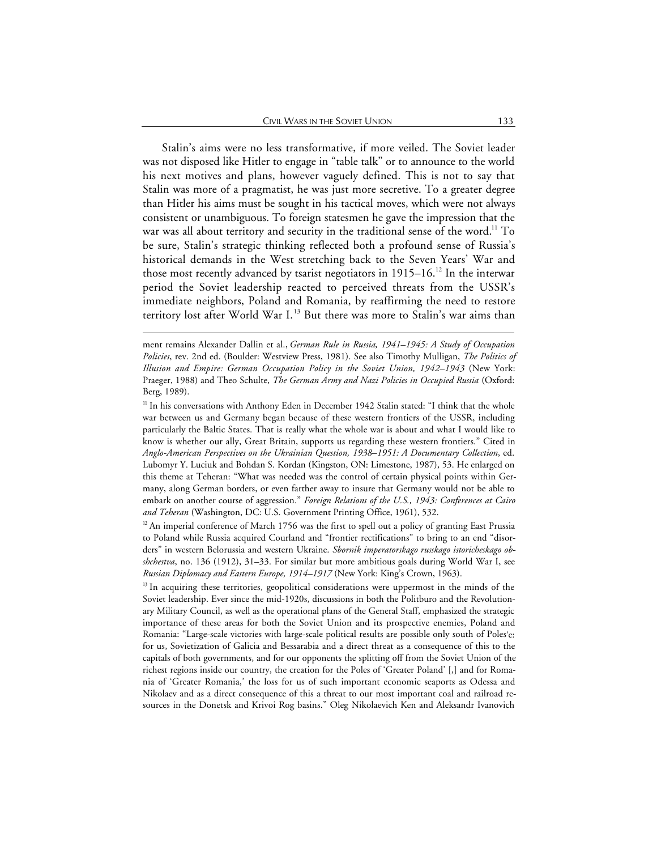Stalin's aims were no less transformative, if more veiled. The Soviet leader was not disposed like Hitler to engage in "table talk" or to announce to the world his next motives and plans, however vaguely defined. This is not to say that Stalin was more of a pragmatist, he was just more secretive. To a greater degree than Hitler his aims must be sought in his tactical moves, which were not always consistent or unambiguous. To foreign statesmen he gave the impression that the war was all about territory and security in the traditional sense of the word.<sup>11</sup> To be sure, Stalin's strategic thinking reflected both a profound sense of Russia's historical demands in the West stretching back to the Seven Years' War and those most recently advanced by tsarist negotiators in  $1915-16$ .<sup>12</sup> In the interwar period the Soviet leadership reacted to perceived threats from the USSR's immediate neighbors, Poland and Romania, by reaffirming the need to restore territory lost after World War I.<sup>13</sup> But there was more to Stalin's war aims than

 $\overline{a}$ 

 $13$  In acquiring these territories, geopolitical considerations were uppermost in the minds of the Soviet leadership. Ever since the mid-1920s, discussions in both the Politburo and the Revolutionary Military Council, as well as the operational plans of the General Staff, emphasized the strategic importance of these areas for both the Soviet Union and its prospective enemies, Poland and Romania: "Large-scale victories with large-scale political results are possible only south of Poles′e: for us, Sovietization of Galicia and Bessarabia and a direct threat as a consequence of this to the capitals of both governments, and for our opponents the splitting off from the Soviet Union of the richest regions inside our country, the creation for the Poles of 'Greater Poland' [,] and for Romania of 'Greater Romania,' the loss for us of such important economic seaports as Odessa and Nikolaev and as a direct consequence of this a threat to our most important coal and railroad resources in the Donetsk and Krivoi Rog basins." Oleg Nikolaevich Ken and Aleksandr Ivanovich

ment remains Alexander Dallin et al., *German Rule in Russia, 1941–1945: A Study of Occupation Policies*, rev. 2nd ed. (Boulder: Westview Press, 1981). See also Timothy Mulligan, *The Politics of Illusion and Empire: German Occupation Policy in the Soviet Union, 1942–1943* (New York: Praeger, 1988) and Theo Schulte, *The German Army and Nazi Policies in Occupied Russia* (Oxford: Berg, 1989).

 $11$  In his conversations with Anthony Eden in December 1942 Stalin stated: "I think that the whole war between us and Germany began because of these western frontiers of the USSR, including particularly the Baltic States. That is really what the whole war is about and what I would like to know is whether our ally, Great Britain, supports us regarding these western frontiers." Cited in *Anglo-American Perspectives on the Ukrainian Question, 1938–1951: A Documentary Collection*, ed. Lubomyr Y. Luciuk and Bohdan S. Kordan (Kingston, ON: Limestone, 1987), 53. He enlarged on this theme at Teheran: "What was needed was the control of certain physical points within Germany, along German borders, or even farther away to insure that Germany would not be able to embark on another course of aggression." *Foreign Relations of the U.S., 1943: Conferences at Cairo and Teheran* (Washington, DC: U.S. Government Printing Office, 1961), 532.

 $12$  An imperial conference of March 1756 was the first to spell out a policy of granting East Prussia to Poland while Russia acquired Courland and "frontier rectifications" to bring to an end "disorders" in western Belorussia and western Ukraine. *Sbornik imperatorskago russkago istoricheskago obshchestva*, no. 136 (1912), 31–33. For similar but more ambitious goals during World War I, see *Russian Diplomacy and Eastern Europe, 1914–1917* (New York: King's Crown, 1963).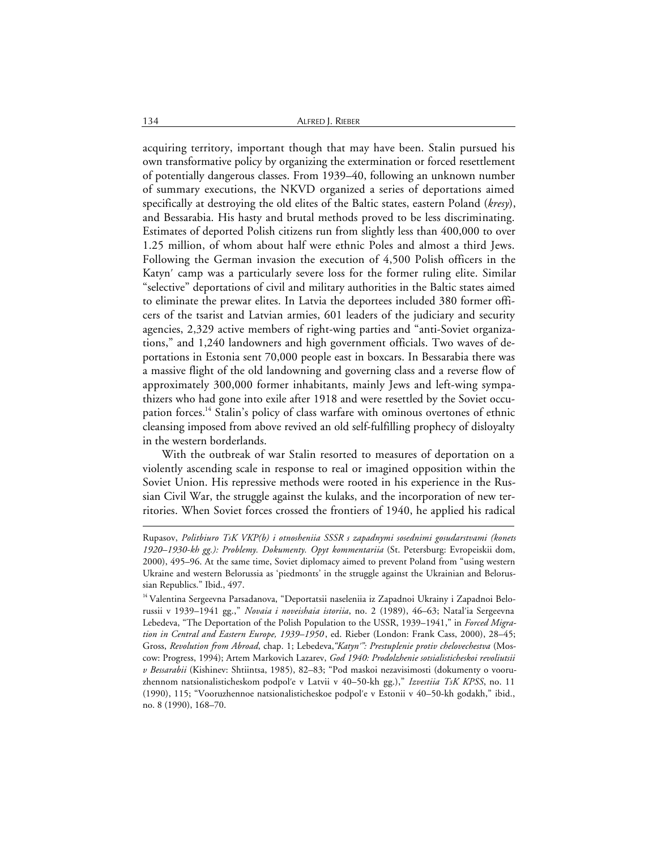acquiring territory, important though that may have been. Stalin pursued his own transformative policy by organizing the extermination or forced resettlement of potentially dangerous classes. From 1939–40, following an unknown number of summary executions, the NKVD organized a series of deportations aimed specifically at destroying the old elites of the Baltic states, eastern Poland (*kresy*), and Bessarabia. His hasty and brutal methods proved to be less discriminating. Estimates of deported Polish citizens run from slightly less than 400,000 to over 1.25 million, of whom about half were ethnic Poles and almost a third Jews. Following the German invasion the execution of 4,500 Polish officers in the Katyn′ camp was a particularly severe loss for the former ruling elite. Similar "selective" deportations of civil and military authorities in the Baltic states aimed to eliminate the prewar elites. In Latvia the deportees included 380 former officers of the tsarist and Latvian armies, 601 leaders of the judiciary and security agencies, 2,329 active members of right-wing parties and "anti-Soviet organizations," and 1,240 landowners and high government officials. Two waves of deportations in Estonia sent 70,000 people east in boxcars. In Bessarabia there was a massive flight of the old landowning and governing class and a reverse flow of approximately 300,000 former inhabitants, mainly Jews and left-wing sympathizers who had gone into exile after 1918 and were resettled by the Soviet occupation forces.<sup>14</sup> Stalin's policy of class warfare with ominous overtones of ethnic cleansing imposed from above revived an old self-fulfilling prophecy of disloyalty in the western borderlands.

With the outbreak of war Stalin resorted to measures of deportation on a violently ascending scale in response to real or imagined opposition within the Soviet Union. His repressive methods were rooted in his experience in the Russian Civil War, the struggle against the kulaks, and the incorporation of new territories. When Soviet forces crossed the frontiers of 1940, he applied his radical

-

Rupasov, *Politbiuro TsK VKP(b) i otnosheniia SSSR s zapadnymi sosednimi gosudarstvami (konets 1920–1930-kh gg.): Problemy. Dokumenty. Opyt kommentariia* (St. Petersburg: Evropeiskii dom, 2000), 495–96. At the same time, Soviet diplomacy aimed to prevent Poland from "using western Ukraine and western Belorussia as 'piedmonts' in the struggle against the Ukrainian and Belorussian Republics." Ibid., 497.

<sup>&</sup>lt;sup>14</sup> Valentina Sergeevna Parsadanova, "Deportatsii naseleniia iz Zapadnoi Ukrainy i Zapadnoi Belorussii v 1939–1941 gg.," *Novaia i noveishaia istoriia*, no. 2 (1989), 46–63; Natal′ia Sergeevna Lebedeva, "The Deportation of the Polish Population to the USSR, 1939–1941," in *Forced Migration in Central and Eastern Europe, 1939–1950*, ed. Rieber (London: Frank Cass, 2000), 28–45; Gross, *Revolution from Abroad*, chap. 1; Lebedeva,*"Katyn*′*": Prestuplenie protiv chelovechestva* (Moscow: Progress, 1994); Artem Markovich Lazarev, *God 1940: Prodolzhenie sotsialisticheskoi revoliutsii v Bessarabii* (Kishinev: Shtiintsa, 1985), 82–83; "Pod maskoi nezavisimosti (dokumenty o vooruzhennom natsionalisticheskom podpol′e v Latvii v 40–50-kh gg.)," *Izvestiia TsK KPSS*, no. 11 (1990), 115; "Vooruzhennoe natsionalisticheskoe podpol′e v Estonii v 40–50-kh godakh," ibid., no. 8 (1990), 168–70.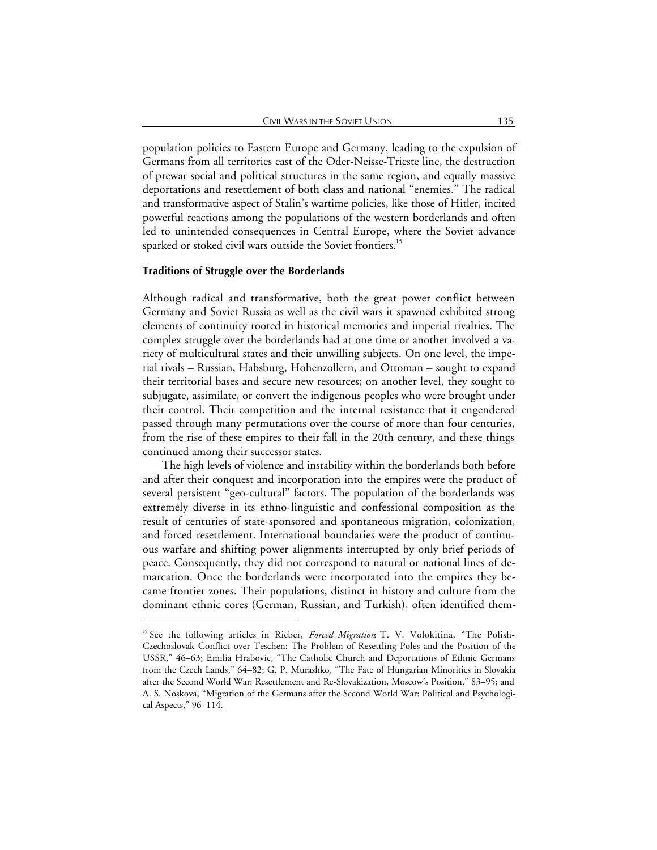population policies to Eastern Europe and Germany, leading to the expulsion of Germans from all territories east of the Oder-Neisse-Trieste line, the destruction of prewar social and political structures in the same region, and equally massive deportations and resettlement of both class and national "enemies." The radical and transformative aspect of Stalin's wartime policies, like those of Hitler, incited powerful reactions among the populations of the western borderlands and often led to unintended consequences in Central Europe, where the Soviet advance sparked or stoked civil wars outside the Soviet frontiers.<sup>15</sup>

#### **Traditions of Struggle over the Borderlands**

Although radical and transformative, both the great power conflict between Germany and Soviet Russia as well as the civil wars it spawned exhibited strong elements of continuity rooted in historical memories and imperial rivalries. The complex struggle over the borderlands had at one time or another involved a variety of multicultural states and their unwilling subjects. On one level, the imperial rivals – Russian, Habsburg, Hohenzollern, and Ottoman – sought to expand their territorial bases and secure new resources; on another level, they sought to subjugate, assimilate, or convert the indigenous peoples who were brought under their control. Their competition and the internal resistance that it engendered passed through many permutations over the course of more than four centuries, from the rise of these empires to their fall in the 20th century, and these things continued among their successor states.

The high levels of violence and instability within the borderlands both before and after their conquest and incorporation into the empires were the product of several persistent "geo-cultural" factors. The population of the borderlands was extremely diverse in its ethno-linguistic and confessional composition as the result of centuries of state-sponsored and spontaneous migration, colonization, and forced resettlement. International boundaries were the product of continuous warfare and shifting power alignments interrupted by only brief periods of peace. Consequently, they did not correspond to natural or national lines of demarcation. Once the borderlands were incorporated into the empires they became frontier zones. Their populations, distinct in history and culture from the dominant ethnic cores (German, Russian, and Turkish), often identified them-

<sup>&</sup>lt;sup>15</sup> See the following articles in Rieber, *Forced Migration*: T. V. Volokitina, "The Polish-Czechoslovak Conflict over Teschen: The Problem of Resettling Poles and the Position of the USSR," 46–63; Emilia Hrabovic, "The Catholic Church and Deportations of Ethnic Germans from the Czech Lands," 64–82; G. P. Murashko, "The Fate of Hungarian Minorities in Slovakia after the Second World War: Resettlement and Re-Slovakization, Moscow's Position," 83–95; and A. S. Noskova, "Migration of the Germans after the Second World War: Political and Psychological Aspects," 96–114.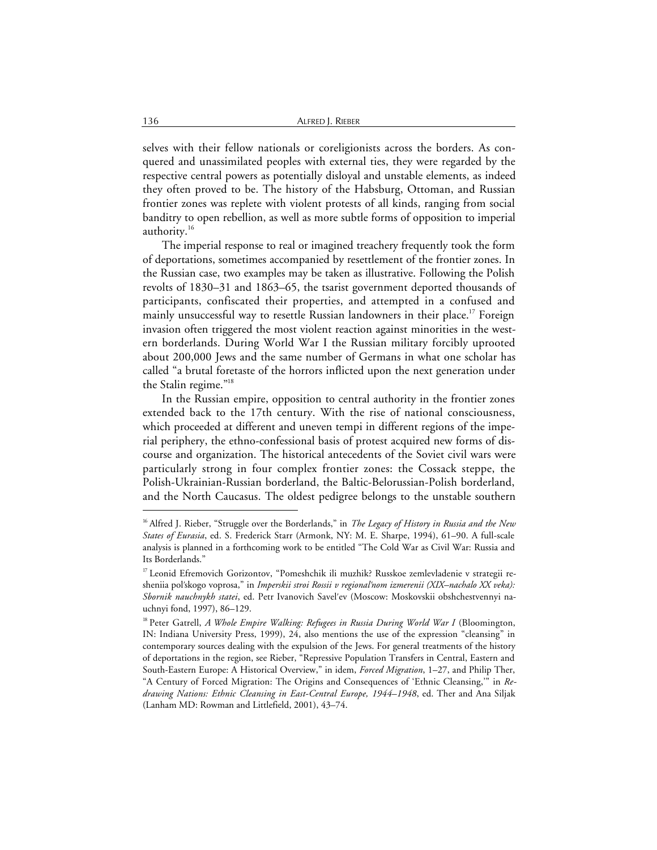selves with their fellow nationals or coreligionists across the borders. As conquered and unassimilated peoples with external ties, they were regarded by the respective central powers as potentially disloyal and unstable elements, as indeed they often proved to be. The history of the Habsburg, Ottoman, and Russian frontier zones was replete with violent protests of all kinds, ranging from social banditry to open rebellion, as well as more subtle forms of opposition to imperial authority.<sup>16</sup>

The imperial response to real or imagined treachery frequently took the form of deportations, sometimes accompanied by resettlement of the frontier zones. In the Russian case, two examples may be taken as illustrative. Following the Polish revolts of 1830–31 and 1863–65, the tsarist government deported thousands of participants, confiscated their properties, and attempted in a confused and mainly unsuccessful way to resettle Russian landowners in their place.<sup>17</sup> Foreign invasion often triggered the most violent reaction against minorities in the western borderlands. During World War I the Russian military forcibly uprooted about 200,000 Jews and the same number of Germans in what one scholar has called "a brutal foretaste of the horrors inflicted upon the next generation under the Stalin regime."<sup>18</sup>

In the Russian empire, opposition to central authority in the frontier zones extended back to the 17th century. With the rise of national consciousness, which proceeded at different and uneven tempi in different regions of the imperial periphery, the ethno-confessional basis of protest acquired new forms of discourse and organization. The historical antecedents of the Soviet civil wars were particularly strong in four complex frontier zones: the Cossack steppe, the Polish-Ukrainian-Russian borderland, the Baltic-Belorussian-Polish borderland, and the North Caucasus. The oldest pedigree belongs to the unstable southern

 <sup>16</sup> Alfred J. Rieber, "Struggle over the Borderlands," in *The Legacy of History in Russia and the New States of Eurasia*, ed. S. Frederick Starr (Armonk, NY: M. E. Sharpe, 1994), 61–90. A full-scale analysis is planned in a forthcoming work to be entitled "The Cold War as Civil War: Russia and Its Borderlands."

<sup>&</sup>lt;sup>17</sup> Leonid Efremovich Gorizontov, "Pomeshchik ili muzhik? Russkoe zemlevladenie v strategii resheniia pol′skogo voprosa," in *Imperskii stroi Rossii v regional*′*nom izmerenii (XIX–nachalo XX veka): Sbornik nauchnykh statei*, ed. Petr Ivanovich Savel′ev (Moscow: Moskovskii obshchestvennyi nauchnyi fond, 1997), 86–129.

<sup>&</sup>lt;sup>18</sup> Peter Gatrell, *A Whole Empire Walking: Refugees in Russia During World War I (Bloomington,* IN: Indiana University Press, 1999), 24, also mentions the use of the expression "cleansing" in contemporary sources dealing with the expulsion of the Jews. For general treatments of the history of deportations in the region, see Rieber, "Repressive Population Transfers in Central, Eastern and South-Eastern Europe: A Historical Overview," in idem, *Forced Migration*, 1–27, and Philip Ther, "A Century of Forced Migration: The Origins and Consequences of 'Ethnic Cleansing,'" in *Redrawing Nations: Ethnic Cleansing in East-Central Europe, 1944–1948*, ed. Ther and Ana Siljak (Lanham MD: Rowman and Littlefield, 2001), 43–74.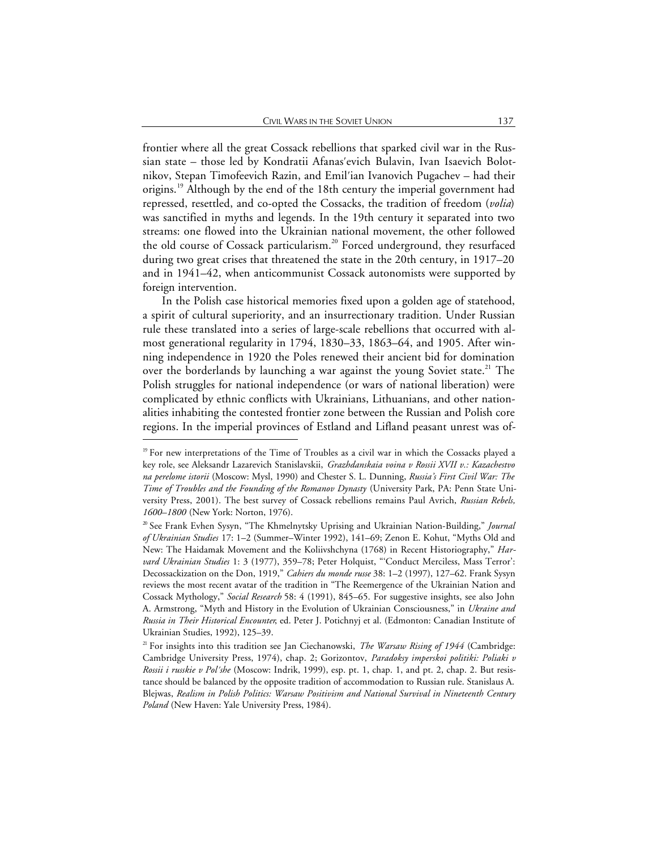frontier where all the great Cossack rebellions that sparked civil war in the Russian state – those led by Kondratii Afanas′evich Bulavin, Ivan Isaevich Bolotnikov, Stepan Timofeevich Razin, and Emil′ian Ivanovich Pugachev – had their origins.<sup>19</sup> Although by the end of the 18th century the imperial government had repressed, resettled, and co-opted the Cossacks, the tradition of freedom (*volia*) was sanctified in myths and legends. In the 19th century it separated into two streams: one flowed into the Ukrainian national movement, the other followed the old course of Cossack particularism.<sup>20</sup> Forced underground, they resurfaced during two great crises that threatened the state in the 20th century, in 1917–20 and in 1941–42, when anticommunist Cossack autonomists were supported by foreign intervention.

In the Polish case historical memories fixed upon a golden age of statehood, a spirit of cultural superiority, and an insurrectionary tradition. Under Russian rule these translated into a series of large-scale rebellions that occurred with almost generational regularity in 1794, 1830–33, 1863–64, and 1905. After winning independence in 1920 the Poles renewed their ancient bid for domination over the borderlands by launching a war against the young Soviet state.<sup>21</sup> The Polish struggles for national independence (or wars of national liberation) were complicated by ethnic conflicts with Ukrainians, Lithuanians, and other nationalities inhabiting the contested frontier zone between the Russian and Polish core regions. In the imperial provinces of Estland and Lifland peasant unrest was of-

<sup>&</sup>lt;sup>19</sup> For new interpretations of the Time of Troubles as a civil war in which the Cossacks played a key role, see Aleksandr Lazarevich Stanislavskii, *Grazhdanskaia voina v Rossii XVII v.: Kazachestvo na perelome istorii* (Moscow: Mysl, 1990) and Chester S. L. Dunning, *Russia's First Civil War: The Time of Troubles and the Founding of the Romanov Dynasty* (University Park, PA: Penn State University Press, 2001). The best survey of Cossack rebellions remains Paul Avrich, *Russian Rebels, 1600–1800* (New York: Norton, 1976).

<sup>20</sup> See Frank Evhen Sysyn, "The Khmelnytsky Uprising and Ukrainian Nation-Building," *Journal of Ukrainian Studies* 17: 1–2 (Summer–Winter 1992), 141–69; Zenon E. Kohut, "Myths Old and New: The Haidamak Movement and the Koliivshchyna (1768) in Recent Historiography," *Harvard Ukrainian Studies* 1: 3 (1977), 359–78; Peter Holquist, "'Conduct Merciless, Mass Terror': Decossackization on the Don, 1919," *Cahiers du monde russe* 38: 1–2 (1997), 127–62. Frank Sysyn reviews the most recent avatar of the tradition in "The Reemergence of the Ukrainian Nation and Cossack Mythology," *Social Research* 58: 4 (1991), 845–65. For suggestive insights, see also John A. Armstrong, "Myth and History in the Evolution of Ukrainian Consciousness," in *Ukraine and Russia in Their Historical Encounter*, ed. Peter J. Potichnyj et al. (Edmonton: Canadian Institute of Ukrainian Studies, 1992), 125–39.

<sup>&</sup>lt;sup>21</sup> For insights into this tradition see Jan Ciechanowski, *The Warsaw Rising of 1944* (Cambridge: Cambridge University Press, 1974), chap. 2; Gorizontov, *Paradoksy imperskoi politiki: Poliaki v Rossii i russkie v Pol*′*she* (Moscow: Indrik, 1999), esp. pt. 1, chap. 1, and pt. 2, chap. 2. But resistance should be balanced by the opposite tradition of accommodation to Russian rule. Stanislaus A. Blejwas, *Realism in Polish Politics: Warsaw Positivism and National Survival in Nineteenth Century Poland* (New Haven: Yale University Press, 1984).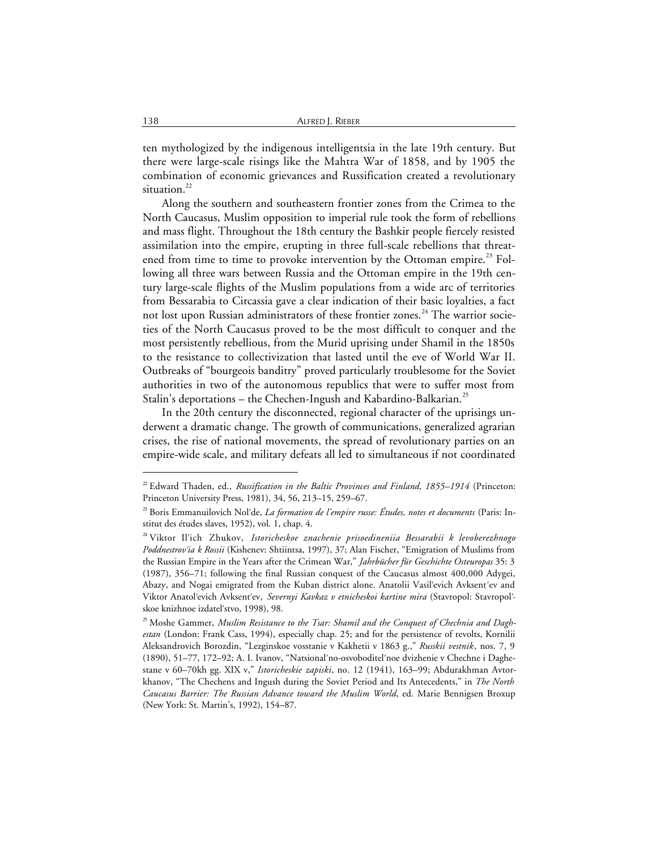ten mythologized by the indigenous intelligentsia in the late 19th century. But there were large-scale risings like the Mahtra War of 1858, and by 1905 the combination of economic grievances and Russification created a revolutionary  $situation.<sup>22</sup>$ 

Along the southern and southeastern frontier zones from the Crimea to the North Caucasus, Muslim opposition to imperial rule took the form of rebellions and mass flight. Throughout the 18th century the Bashkir people fiercely resisted assimilation into the empire, erupting in three full-scale rebellions that threatened from time to time to provoke intervention by the Ottoman empire.<sup>23</sup> Following all three wars between Russia and the Ottoman empire in the 19th century large-scale flights of the Muslim populations from a wide arc of territories from Bessarabia to Circassia gave a clear indication of their basic loyalties, a fact not lost upon Russian administrators of these frontier zones.<sup>24</sup> The warrior societies of the North Caucasus proved to be the most difficult to conquer and the most persistently rebellious, from the Murid uprising under Shamil in the 1850s to the resistance to collectivization that lasted until the eve of World War II. Outbreaks of "bourgeois banditry" proved particularly troublesome for the Soviet authorities in two of the autonomous republics that were to suffer most from Stalin's deportations – the Chechen-Ingush and Kabardino-Balkarian.<sup>25</sup>

In the 20th century the disconnected, regional character of the uprisings underwent a dramatic change. The growth of communications, generalized agrarian crises, the rise of national movements, the spread of revolutionary parties on an empire-wide scale, and military defeats all led to simultaneous if not coordinated

 <sup>22</sup> Edward Thaden, ed., *Russification in the Baltic Provinces and Finland, 1855–1914* (Princeton: Princeton University Press, 1981), 34, 56, 213–15, 259–67.

<sup>&</sup>lt;sup>23</sup> Boris Emmanuilovich Nol'de, *La formation de l'empire russe: Études, notes et documents* (Paris: Institut des études slaves, 1952), vol. 1, chap. 4.

<sup>24</sup> Viktor Il′ich Zhukov, *Istoricheskoe znachenie prisoedineniia Bessarabii k levoberezhnogo Poddnestrov*′*ia k Rossii* (Kishenev: Shtiintsa, 1997), 37; Alan Fischer, "Emigration of Muslims from the Russian Empire in the Years after the Crimean War," *Jahrbücher für Geschichte Osteuropas* 35: 3 (1987), 356–71; following the final Russian conquest of the Caucasus almost 400,000 Adygei, Abazy, and Nogai emigrated from the Kuban district alone. Anatolii Vasil′evich Avksent′ev and Viktor Anatol′evich Avksent′ev, *Severnyi Kavkaz v etnicheskoi kartine mira* (Stavropol: Stavropol′ skoe knizhnoe izdatel′stvo, 1998), 98.

<sup>25</sup> Moshe Gammer, *Muslim Resistance to the Tsar: Shamil and the Conquest of Chechnia and Daghestan* (London: Frank Cass, 1994), especially chap. 25; and for the persistence of revolts, Kornilii Aleksandrovich Borozdin, "Lezginskoe vosstanie v Kakhetii v 1863 g.," *Russkii vestnik*, nos. 7, 9 (1890), 51–77, 172–92; A. I. Ivanov, "Natsional′no-osvoboditel′noe dvizhenie v Chechne i Daghestane v 60–70kh gg. XIX v," *Istoricheskie zapiski*, no. 12 (1941), 163–99; Abdurakhman Avtorkhanov, "The Chechens and Ingush during the Soviet Period and Its Antecedents," in *The North Caucasus Barrier: The Russian Advance toward the Muslim World*, ed. Marie Bennigsen Broxup (New York: St. Martin's, 1992), 154–87.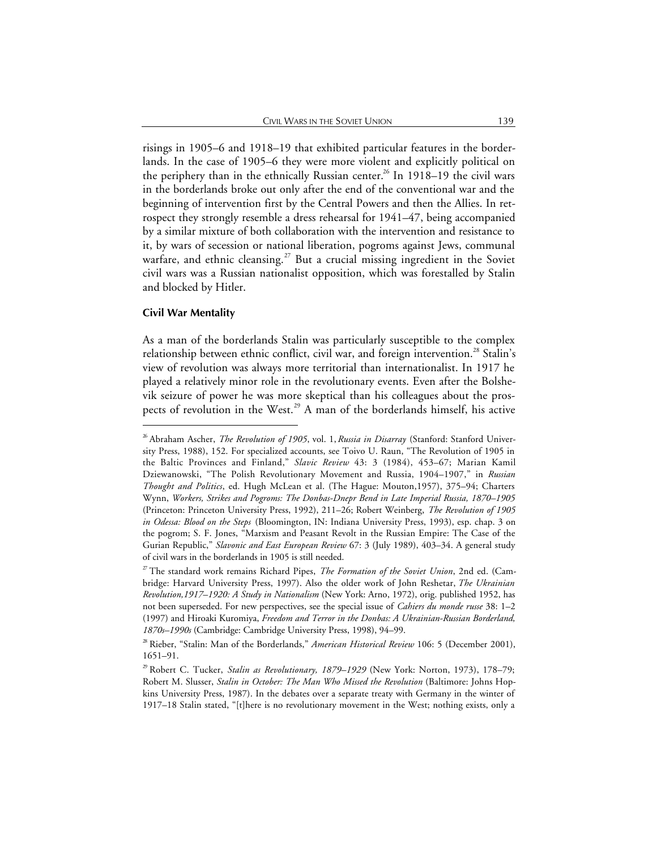risings in 1905–6 and 1918–19 that exhibited particular features in the borderlands. In the case of 1905–6 they were more violent and explicitly political on the periphery than in the ethnically Russian center.<sup>26</sup> In 1918–19 the civil wars in the borderlands broke out only after the end of the conventional war and the beginning of intervention first by the Central Powers and then the Allies. In retrospect they strongly resemble a dress rehearsal for 1941–47, being accompanied by a similar mixture of both collaboration with the intervention and resistance to it, by wars of secession or national liberation, pogroms against Jews, communal warfare, and ethnic cleansing.<sup>27</sup> But a crucial missing ingredient in the Soviet civil wars was a Russian nationalist opposition, which was forestalled by Stalin and blocked by Hitler.

#### **Civil War Mentality**

As a man of the borderlands Stalin was particularly susceptible to the complex relationship between ethnic conflict, civil war, and foreign intervention.<sup>28</sup> Stalin's view of revolution was always more territorial than internationalist. In 1917 he played a relatively minor role in the revolutionary events. Even after the Bolshevik seizure of power he was more skeptical than his colleagues about the prospects of revolution in the West.<sup>29</sup> A man of the borderlands himself, his active

 <sup>26</sup> Abraham Ascher, *The Revolution of 1905*, vol. 1, *Russia in Disarray* (Stanford: Stanford University Press, 1988), 152. For specialized accounts, see Toivo U. Raun, "The Revolution of 1905 in the Baltic Provinces and Finland," *Slavic Review* 43: 3 (1984), 453–67; Marian Kamil Dziewanowski, "The Polish Revolutionary Movement and Russia, 1904–1907," in *Russian Thought and Politics*, ed. Hugh McLean et al. (The Hague: Mouton,1957), 375–94; Charters Wynn, *Workers, Strikes and Pogroms: The Donbas-Dnepr Bend in Late Imperial Russia, 1870–1905* (Princeton: Princeton University Press, 1992), 211–26; Robert Weinberg, *The Revolution of 1905 in Odessa: Blood on the Steps* (Bloomington, IN: Indiana University Press, 1993), esp. chap. 3 on the pogrom; S. F. Jones, "Marxism and Peasant Revolt in the Russian Empire: The Case of the Gurian Republic," *Slavonic and East European Review* 67: 3 (July 1989), 403–34. A general study of civil wars in the borderlands in 1905 is still needed.

<sup>27</sup> The standard work remains Richard Pipes, *The Formation of the Soviet Union*, 2nd ed. (Cambridge: Harvard University Press, 1997). Also the older work of John Reshetar, *The Ukrainian Revolution,1917–1920: A Study in Nationalism* (New York: Arno, 1972), orig. published 1952, has not been superseded. For new perspectives, see the special issue of *Cahiers du monde russe* 38: 1–2 (1997) and Hiroaki Kuromiya, *Freedom and Terror in the Donbas: A Ukrainian-Russian Borderland, 1870s–1990s* (Cambridge: Cambridge University Press, 1998), 94–99.

<sup>28</sup> Rieber, "Stalin: Man of the Borderlands," *American Historical Review* 106: 5 (December 2001), 1651–91.

<sup>29</sup> Robert C. Tucker, *Stalin as Revolutionary, 1879–1929* (New York: Norton, 1973), 178–79; Robert M. Slusser, *Stalin in October: The Man Who Missed the Revolution* (Baltimore: Johns Hopkins University Press, 1987). In the debates over a separate treaty with Germany in the winter of 1917–18 Stalin stated, "[t]here is no revolutionary movement in the West; nothing exists, only a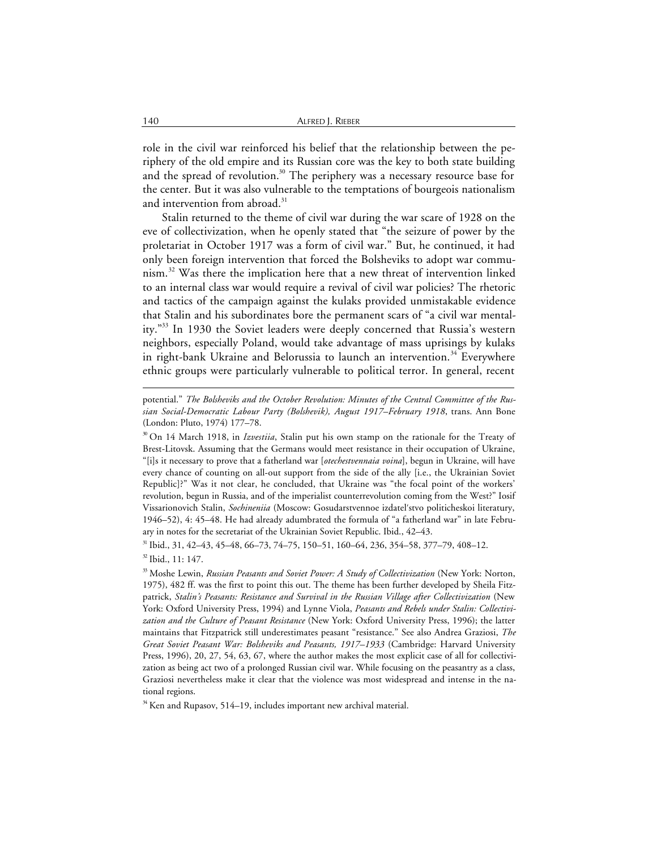role in the civil war reinforced his belief that the relationship between the periphery of the old empire and its Russian core was the key to both state building and the spread of revolution.<sup>30</sup> The periphery was a necessary resource base for the center. But it was also vulnerable to the temptations of bourgeois nationalism and intervention from abroad.<sup>31</sup>

Stalin returned to the theme of civil war during the war scare of 1928 on the eve of collectivization, when he openly stated that "the seizure of power by the proletariat in October 1917 was a form of civil war." But, he continued, it had only been foreign intervention that forced the Bolsheviks to adopt war communism.32 Was there the implication here that a new threat of intervention linked to an internal class war would require a revival of civil war policies? The rhetoric and tactics of the campaign against the kulaks provided unmistakable evidence that Stalin and his subordinates bore the permanent scars of "a civil war mentality."33 In 1930 the Soviet leaders were deeply concerned that Russia's western neighbors, especially Poland, would take advantage of mass uprisings by kulaks in right-bank Ukraine and Belorussia to launch an intervention.<sup>34</sup> Everywhere ethnic groups were particularly vulnerable to political terror. In general, recent

potential." *The Bolsheviks and the October Revolution: Minutes of the Central Committee of the Russian Social-Democratic Labour Party (Bolshevik), August 1917–February 1918*, trans. Ann Bone (London: Pluto, 1974) 177–78.

30 On 14 March 1918, in *Izvestiia*, Stalin put his own stamp on the rationale for the Treaty of Brest-Litovsk. Assuming that the Germans would meet resistance in their occupation of Ukraine, "[i]s it necessary to prove that a fatherland war [*otechestvennaia voina*], begun in Ukraine, will have every chance of counting on all-out support from the side of the ally [i.e., the Ukrainian Soviet Republic]?" Was it not clear, he concluded, that Ukraine was "the focal point of the workers' revolution, begun in Russia, and of the imperialist counterrevolution coming from the West?" Iosif Vissarionovich Stalin, *Sochineniia* (Moscow: Gosudarstvennoe izdatel′stvo politicheskoi literatury, 1946–52), 4: 45–48. He had already adumbrated the formula of "a fatherland war" in late February in notes for the secretariat of the Ukrainian Soviet Republic. Ibid., 42–43.

31 Ibid., 31, 42–43, 45–48, 66–73, 74–75, 150–51, 160–64, 236, 354–58, 377–79, 408–12.

<sup>32</sup> Ibid., 11: 147.

33 Moshe Lewin, *Russian Peasants and Soviet Power: A Study of Collectivization* (New York: Norton, 1975), 482 ff. was the first to point this out. The theme has been further developed by Sheila Fitzpatrick, *Stalin's Peasants: Resistance and Survival in the Russian Village after Collectivization* (New York: Oxford University Press, 1994) and Lynne Viola, *Peasants and Rebels under Stalin: Collectivization and the Culture of Peasant Resistance* (New York: Oxford University Press, 1996); the latter maintains that Fitzpatrick still underestimates peasant "resistance." See also Andrea Graziosi, *The Great Soviet Peasant War: Bolsheviks and Peasants, 1917–1933* (Cambridge: Harvard University Press, 1996), 20, 27, 54, 63, 67, where the author makes the most explicit case of all for collectivization as being act two of a prolonged Russian civil war. While focusing on the peasantry as a class, Graziosi nevertheless make it clear that the violence was most widespread and intense in the national regions.

<sup>34</sup> Ken and Rupasov, 514–19, includes important new archival material.

-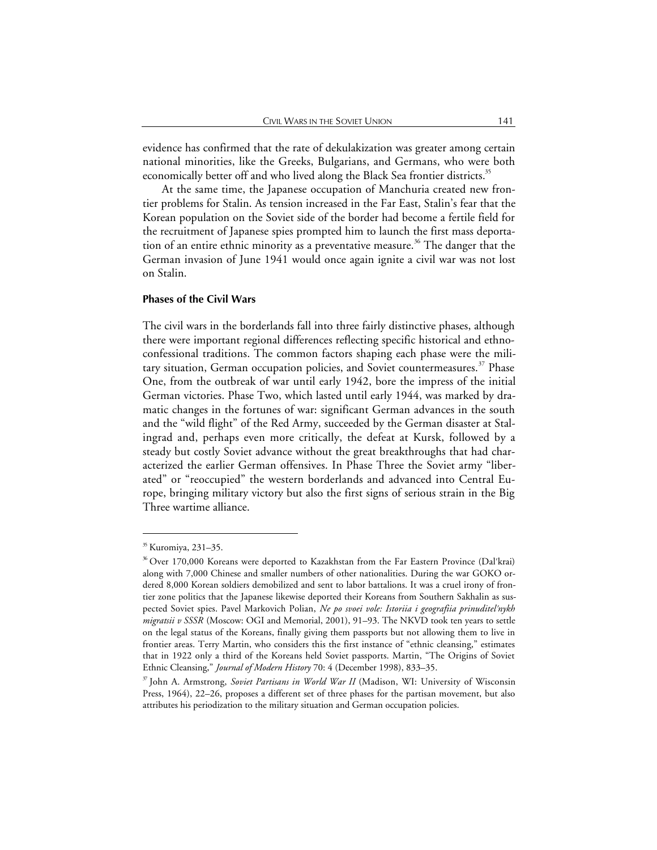evidence has confirmed that the rate of dekulakization was greater among certain national minorities, like the Greeks, Bulgarians, and Germans, who were both economically better off and who lived along the Black Sea frontier districts.<sup>35</sup>

At the same time, the Japanese occupation of Manchuria created new frontier problems for Stalin. As tension increased in the Far East, Stalin's fear that the Korean population on the Soviet side of the border had become a fertile field for the recruitment of Japanese spies prompted him to launch the first mass deportation of an entire ethnic minority as a preventative measure.<sup>36</sup> The danger that the German invasion of June 1941 would once again ignite a civil war was not lost on Stalin.

#### **Phases of the Civil Wars**

The civil wars in the borderlands fall into three fairly distinctive phases, although there were important regional differences reflecting specific historical and ethnoconfessional traditions. The common factors shaping each phase were the military situation, German occupation policies, and Soviet countermeasures.<sup>37</sup> Phase One, from the outbreak of war until early 1942, bore the impress of the initial German victories. Phase Two, which lasted until early 1944, was marked by dramatic changes in the fortunes of war: significant German advances in the south and the "wild flight" of the Red Army, succeeded by the German disaster at Stalingrad and, perhaps even more critically, the defeat at Kursk, followed by a steady but costly Soviet advance without the great breakthroughs that had characterized the earlier German offensives. In Phase Three the Soviet army "liberated" or "reoccupied" the western borderlands and advanced into Central Europe, bringing military victory but also the first signs of serious strain in the Big Three wartime alliance.

 <sup>35</sup> Kuromiya, 231–35.

<sup>&</sup>lt;sup>36</sup> Over 170,000 Koreans were deported to Kazakhstan from the Far Eastern Province (Dal'krai) along with 7,000 Chinese and smaller numbers of other nationalities. During the war GOKO ordered 8,000 Korean soldiers demobilized and sent to labor battalions. It was a cruel irony of frontier zone politics that the Japanese likewise deported their Koreans from Southern Sakhalin as suspected Soviet spies. Pavel Markovich Polian, *Ne po svoei vole: Istoriia i geografiia prinuditel*′*nykh migratsii v SSSR* (Moscow: OGI and Memorial, 2001), 91–93. The NKVD took ten years to settle on the legal status of the Koreans, finally giving them passports but not allowing them to live in frontier areas. Terry Martin, who considers this the first instance of "ethnic cleansing," estimates that in 1922 only a third of the Koreans held Soviet passports. Martin, "The Origins of Soviet Ethnic Cleansing," *Journal of Modern History* 70: 4 (December 1998), 833–35.

<sup>37</sup> John A. Armstrong, *Soviet Partisans in World War II* (Madison, WI: University of Wisconsin Press, 1964), 22–26, proposes a different set of three phases for the partisan movement, but also attributes his periodization to the military situation and German occupation policies.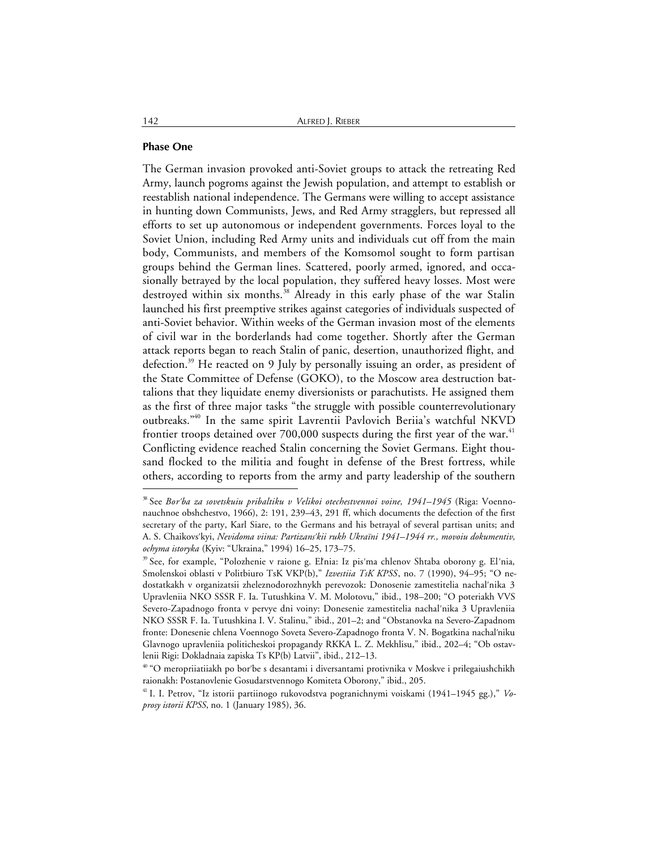#### **Phase One**

The German invasion provoked anti-Soviet groups to attack the retreating Red Army, launch pogroms against the Jewish population, and attempt to establish or reestablish national independence. The Germans were willing to accept assistance in hunting down Communists, Jews, and Red Army stragglers, but repressed all efforts to set up autonomous or independent governments. Forces loyal to the Soviet Union, including Red Army units and individuals cut off from the main body, Communists, and members of the Komsomol sought to form partisan groups behind the German lines. Scattered, poorly armed, ignored, and occasionally betrayed by the local population, they suffered heavy losses. Most were destroyed within six months.<sup>38</sup> Already in this early phase of the war Stalin launched his first preemptive strikes against categories of individuals suspected of anti-Soviet behavior. Within weeks of the German invasion most of the elements of civil war in the borderlands had come together. Shortly after the German attack reports began to reach Stalin of panic, desertion, unauthorized flight, and defection.<sup>39</sup> He reacted on 9 July by personally issuing an order, as president of the State Committee of Defense (GOKO), to the Moscow area destruction battalions that they liquidate enemy diversionists or parachutists. He assigned them as the first of three major tasks "the struggle with possible counterrevolutionary outbreaks."40 In the same spirit Lavrentii Pavlovich Beriia's watchful NKVD frontier troops detained over  $700,000$  suspects during the first year of the war.<sup>41</sup> Conflicting evidence reached Stalin concerning the Soviet Germans. Eight thousand flocked to the militia and fought in defense of the Brest fortress, while others, according to reports from the army and party leadership of the southern

 <sup>38</sup> See *Bor*′*ba za sovetskuiu pribaltiku v Velikoi otechestvennoi voine, 1941–1945* (Riga: Voennonauchnoe obshchestvo, 1966), 2: 191, 239–43, 291 ff, which documents the defection of the first secretary of the party, Karl Siare, to the Germans and his betrayal of several partisan units; and A. S. Chaikovs′kyi, *Nevidoma viina: Partizans*′*kii rukh Ukraïni 1941–1944 rr., movoiu dokumentiv, ochyma istoryka* (Kyiv: "Ukraina," 1994) 16–25, 173–75.

<sup>39</sup> See, for example, "Polozhenie v raione g. El′nia: Iz pis′ma chlenov Shtaba oborony g. El′nia, Smolenskoi oblasti v Politbiuro TsK VKP(b)," *Izvestiia TsK KPSS*, no. 7 (1990), 94–95; "O nedostatkakh v organizatsii zheleznodorozhnykh perevozok: Donosenie zamestitelia nachal′nika 3 Upravleniia NKO SSSR F. Ia. Tutushkina V. M. Molotovu," ibid., 198–200; "O poteriakh VVS Severo-Zapadnogo fronta v pervye dni voiny: Donesenie zamestitelia nachal′nika 3 Upravleniia NKO SSSR F. Ia. Tutushkina I. V. Stalinu," ibid., 201–2; and "Obstanovka na Severo-Zapadnom fronte: Donesenie chlena Voennogo Soveta Severo-Zapadnogo fronta V. N. Bogatkina nachal′niku Glavnogo upravleniia politicheskoi propagandy RKKA L. Z. Mekhlisu," ibid., 202–4; "Ob ostavlenii Rigi: Dokladnaia zapiska Ts KP(b) Latvii", ibid., 212–13.

<sup>40 &</sup>quot;O meropriiatiiakh po bor′be s desantami i diversantami protivnika v Moskve i prilegaiushchikh raionakh: Postanovlenie Gosudarstvennogo Komiteta Oborony," ibid., 205.

<sup>41</sup> I. I. Petrov, "Iz istorii partiinogo rukovodstva pogranichnymi voiskami (1941–1945 gg.)," *Voprosy istorii KPSS*, no. 1 (January 1985), 36.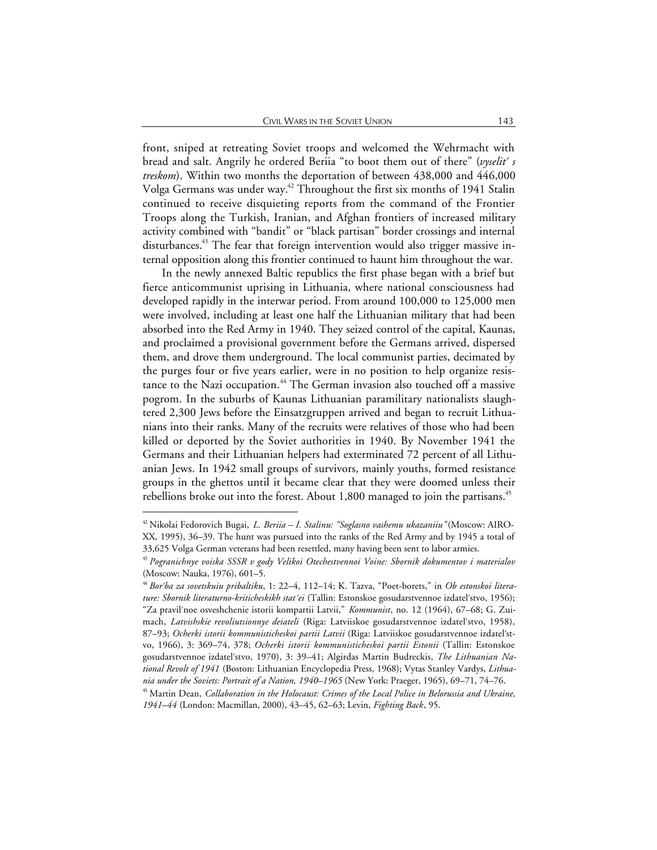front, sniped at retreating Soviet troops and welcomed the Wehrmacht with bread and salt. Angrily he ordered Beriia "to boot them out of there" (*vyselit*′ *s treskom*). Within two months the deportation of between 438,000 and 446,000 Volga Germans was under way.42 Throughout the first six months of 1941 Stalin continued to receive disquieting reports from the command of the Frontier Troops along the Turkish, Iranian, and Afghan frontiers of increased military activity combined with "bandit" or "black partisan" border crossings and internal disturbances.<sup>43</sup> The fear that foreign intervention would also trigger massive internal opposition along this frontier continued to haunt him throughout the war.

In the newly annexed Baltic republics the first phase began with a brief but fierce anticommunist uprising in Lithuania, where national consciousness had developed rapidly in the interwar period. From around 100,000 to 125,000 men were involved, including at least one half the Lithuanian military that had been absorbed into the Red Army in 1940. They seized control of the capital, Kaunas, and proclaimed a provisional government before the Germans arrived, dispersed them, and drove them underground. The local communist parties, decimated by the purges four or five years earlier, were in no position to help organize resistance to the Nazi occupation.<sup>44</sup> The German invasion also touched off a massive pogrom. In the suburbs of Kaunas Lithuanian paramilitary nationalists slaughtered 2,300 Jews before the Einsatzgruppen arrived and began to recruit Lithuanians into their ranks. Many of the recruits were relatives of those who had been killed or deported by the Soviet authorities in 1940. By November 1941 the Germans and their Lithuanian helpers had exterminated 72 percent of all Lithuanian Jews. In 1942 small groups of survivors, mainly youths, formed resistance groups in the ghettos until it became clear that they were doomed unless their rebellions broke out into the forest. About  $1,800$  managed to join the partisans.<sup>45</sup>

 <sup>42</sup> Nikolai Fedorovich Bugai, *L. Beriia – I. Stalinu: "Soglasno vashemu ukazaniiu"* (Moscow: AIRO-XX, 1995), 36–39. The hunt was pursued into the ranks of the Red Army and by 1945 a total of 33,625 Volga German veterans had been resettled, many having been sent to labor armies.

<sup>43</sup> *Pogranichnye voiska SSSR v gody Velikoi Otechestvennoi Voine: Sbornik dokumentov i materialov* (Moscow: Nauka, 1976), 601–5.

<sup>44</sup> *Bor*′*ba za sovetskuiu pribaltiku*, 1: 22–4, 112–14; K. Tazva, "Poet-borets," in *Ob estonskoi literature: Sbornik literaturno-kriticheskikh stat*′*ei* (Tallin: Estonskoe gosudarstvennoe izdatel′stvo, 1956); "Za pravil′noe osveshchenie istorii kompartii Latvii," *Kommunist*, no. 12 (1964), 67–68; G. Zuimach, *Latvishskie revoliutsionnye deiateli* (Riga: Latviiskoe gosudarstvennoe izdatel′stvo, 1958), 87–93; *Ocherki istorii kommunisticheskoi partii Latvii* (Riga: Latviiskoe gosudarstvennoe izdatel′stvo, 1966), 3: 369–74, 378; *Ocherki istorii kommunisticheskoi partii Estonii* (Tallin: Estonskoe gosudarstvennoe izdatel′stvo, 1970), 3: 39–41; Algirdas Martin Budreckis, *The Lithuanian National Revolt of 1941* (Boston: Lithuanian Encyclopedia Press, 1968); Vytas Stanley Vardys, *Lithuania under the Soviets: Portrait of a Nation, 1940–1965* (New York: Praeger, 1965), 69–71, 74–76.

<sup>45</sup> Martin Dean, *Collaboration in the Holocaust: Crimes of the Local Police in Belorussia and Ukraine, 1941–44* (London: Macmillan, 2000), 43–45, 62–63; Levin, *Fighting Back*, 95.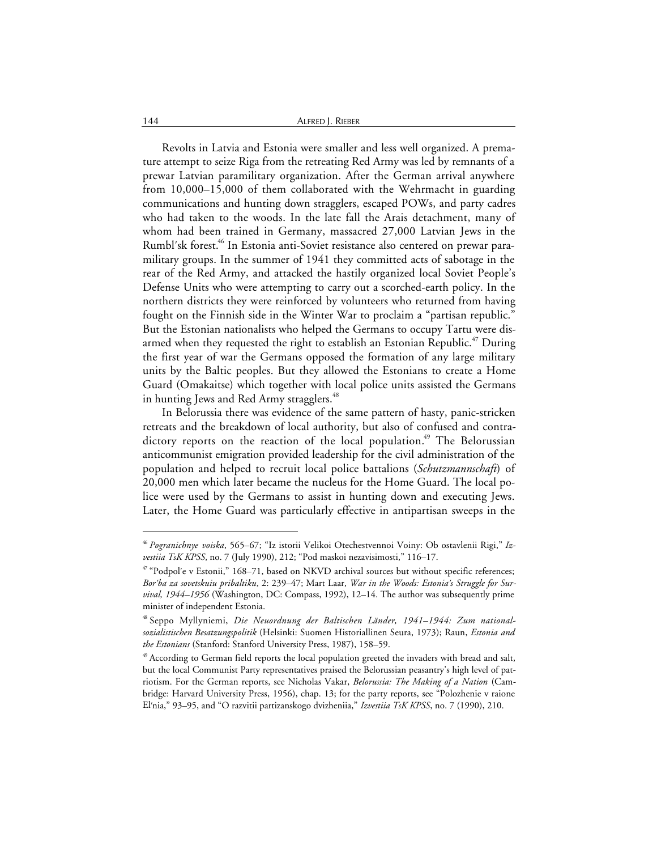Revolts in Latvia and Estonia were smaller and less well organized. A premature attempt to seize Riga from the retreating Red Army was led by remnants of a prewar Latvian paramilitary organization. After the German arrival anywhere from 10,000–15,000 of them collaborated with the Wehrmacht in guarding communications and hunting down stragglers, escaped POWs, and party cadres who had taken to the woods. In the late fall the Arais detachment, many of whom had been trained in Germany, massacred 27,000 Latvian Jews in the Rumbl'sk forest.<sup>46</sup> In Estonia anti-Soviet resistance also centered on prewar paramilitary groups. In the summer of 1941 they committed acts of sabotage in the rear of the Red Army, and attacked the hastily organized local Soviet People's Defense Units who were attempting to carry out a scorched-earth policy. In the northern districts they were reinforced by volunteers who returned from having fought on the Finnish side in the Winter War to proclaim a "partisan republic." But the Estonian nationalists who helped the Germans to occupy Tartu were disarmed when they requested the right to establish an Estonian Republic.<sup>47</sup> During the first year of war the Germans opposed the formation of any large military units by the Baltic peoples. But they allowed the Estonians to create a Home Guard (Omakaitse) which together with local police units assisted the Germans in hunting Jews and Red Army stragglers.<sup>48</sup>

In Belorussia there was evidence of the same pattern of hasty, panic-stricken retreats and the breakdown of local authority, but also of confused and contradictory reports on the reaction of the local population.<sup>49</sup> The Belorussian anticommunist emigration provided leadership for the civil administration of the population and helped to recruit local police battalions (*Schutzmannschaft*) of 20,000 men which later became the nucleus for the Home Guard. The local police were used by the Germans to assist in hunting down and executing Jews. Later, the Home Guard was particularly effective in antipartisan sweeps in the

 <sup>46</sup> *Pogranichnye voiska*, 565–67; "Iz istorii Velikoi Otechestvennoi Voiny: Ob ostavlenii Rigi," *Izvestiia TsK KPSS*, no. 7 (July 1990), 212; "Pod maskoi nezavisimosti," 116–17.

 $47$  "Podpol'e v Estonii," 168–71, based on NKVD archival sources but without specific references; *Bor*′*ba za sovetskuiu pribaltiku*, 2: 239–47; Mart Laar, *War in the Woods: Estonia*′*s Struggle for Survival, 1944–1956* (Washington, DC: Compass, 1992), 12–14. The author was subsequently prime minister of independent Estonia.

<sup>48</sup> Seppo Myllyniemi, *Die Neuordnung der Baltischen Länder, 1941–1944: Zum nationalsozialistischen Besatzungspolitik* (Helsinki: Suomen Historiallinen Seura, 1973); Raun, *Estonia and the Estonians* (Stanford: Stanford University Press, 1987), 158–59.

 $\degree$  According to German field reports the local population greeted the invaders with bread and salt, but the local Communist Party representatives praised the Belorussian peasantry's high level of patriotism. For the German reports, see Nicholas Vakar, *Belorussia: The Making of a Nation* (Cambridge: Harvard University Press, 1956), chap. 13; for the party reports, see "Polozhenie v raione El′nia," 93–95, and "O razvitii partizanskogo dvizheniia," *Izvestiia TsK KPSS*, no. 7 (1990), 210.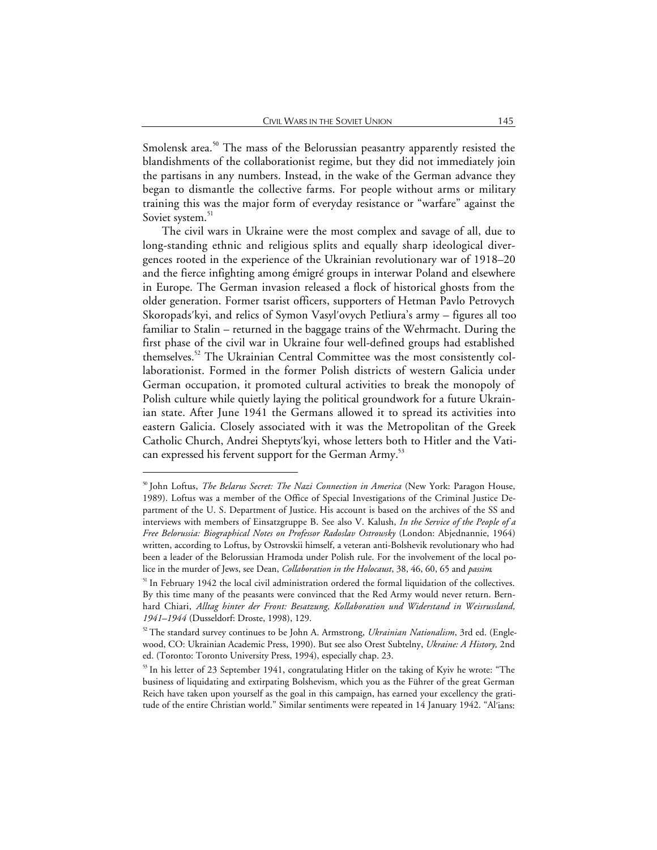Smolensk area.<sup>50</sup> The mass of the Belorussian peasantry apparently resisted the blandishments of the collaborationist regime, but they did not immediately join the partisans in any numbers. Instead, in the wake of the German advance they began to dismantle the collective farms. For people without arms or military training this was the major form of everyday resistance or "warfare" against the Soviet system.<sup>51</sup>

The civil wars in Ukraine were the most complex and savage of all, due to long-standing ethnic and religious splits and equally sharp ideological divergences rooted in the experience of the Ukrainian revolutionary war of 1918–20 and the fierce infighting among émigré groups in interwar Poland and elsewhere in Europe. The German invasion released a flock of historical ghosts from the older generation. Former tsarist officers, supporters of Hetman Pavlo Petrovych Skoropads′kyi, and relics of Symon Vasyl′ovych Petliura's army – figures all too familiar to Stalin – returned in the baggage trains of the Wehrmacht. During the first phase of the civil war in Ukraine four well-defined groups had established themselves.52 The Ukrainian Central Committee was the most consistently collaborationist. Formed in the former Polish districts of western Galicia under German occupation, it promoted cultural activities to break the monopoly of Polish culture while quietly laying the political groundwork for a future Ukrainian state. After June 1941 the Germans allowed it to spread its activities into eastern Galicia. Closely associated with it was the Metropolitan of the Greek Catholic Church, Andrei Sheptyts′kyi, whose letters both to Hitler and the Vatican expressed his fervent support for the German Army.<sup>53</sup>

 <sup>50</sup> John Loftus, *The Belarus Secret: The Nazi Connection in America* (New York: Paragon House, 1989). Loftus was a member of the Office of Special Investigations of the Criminal Justice Department of the U. S. Department of Justice. His account is based on the archives of the SS and interviews with members of Einsatzgruppe B. See also V. Kalush, *In the Service of the People of a Free Belorussia: Biographical Notes on Professor Radoslav Ostrowsky* (London: Abjednannie, 1964) written, according to Loftus, by Ostrovskii himself, a veteran anti-Bolshevik revolutionary who had been a leader of the Belorussian Hramoda under Polish rule. For the involvement of the local police in the murder of Jews, see Dean, *Collaboration in the Holocaust*, 38, 46, 60, 65 and *passim*.

<sup>&</sup>lt;sup>51</sup> In February 1942 the local civil administration ordered the formal liquidation of the collectives. By this time many of the peasants were convinced that the Red Army would never return. Bernhard Chiari, *Alltag hinter der Front: Besatzung, Kollaboration und Widerstand in Weisrussland, 1941–1944* (Dusseldorf: Droste, 1998), 129.

<sup>52</sup> The standard survey continues to be John A. Armstrong, *Ukrainian Nationalism*, 3rd ed. (Englewood, CO: Ukrainian Academic Press, 1990). But see also Orest Subtelny, *Ukraine: A History,* 2nd ed. (Toronto: Toronto University Press, 1994), especially chap. 23.

 $^{53}$  In his letter of 23 September 1941, congratulating Hitler on the taking of Kyiv he wrote: "The business of liquidating and extirpating Bolshevism, which you as the Führer of the great German Reich have taken upon yourself as the goal in this campaign, has earned your excellency the gratitude of the entire Christian world." Similar sentiments were repeated in 14 January 1942. "Al′ians: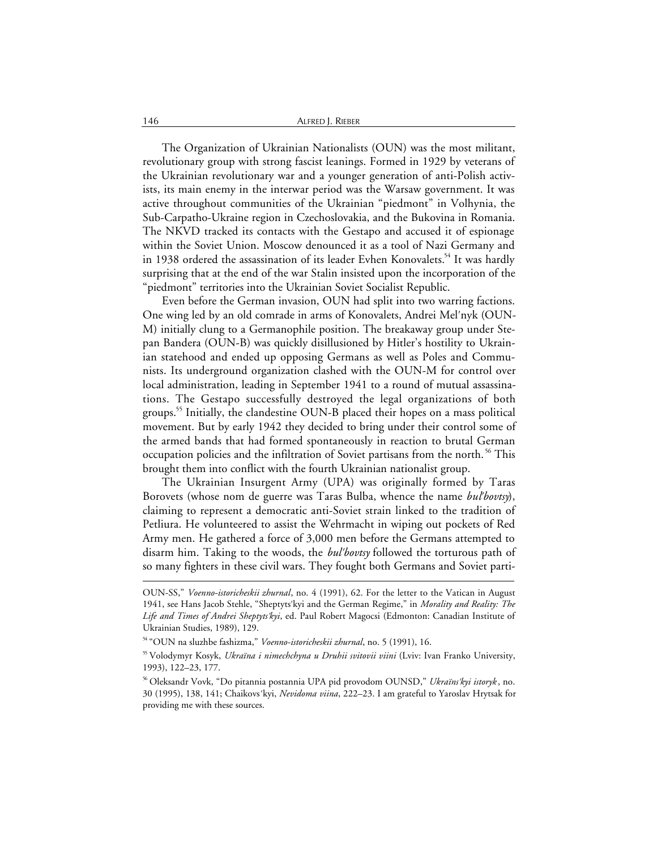The Organization of Ukrainian Nationalists (OUN) was the most militant, revolutionary group with strong fascist leanings. Formed in 1929 by veterans of the Ukrainian revolutionary war and a younger generation of anti-Polish activists, its main enemy in the interwar period was the Warsaw government. It was active throughout communities of the Ukrainian "piedmont" in Volhynia, the Sub-Carpatho-Ukraine region in Czechoslovakia, and the Bukovina in Romania. The NKVD tracked its contacts with the Gestapo and accused it of espionage within the Soviet Union. Moscow denounced it as a tool of Nazi Germany and in 1938 ordered the assassination of its leader Evhen Konovalets.<sup>54</sup> It was hardly surprising that at the end of the war Stalin insisted upon the incorporation of the "piedmont" territories into the Ukrainian Soviet Socialist Republic.

Even before the German invasion, OUN had split into two warring factions. One wing led by an old comrade in arms of Konovalets, Andrei Mel′nyk (OUN-M) initially clung to a Germanophile position. The breakaway group under Stepan Bandera (OUN-B) was quickly disillusioned by Hitler's hostility to Ukrainian statehood and ended up opposing Germans as well as Poles and Communists. Its underground organization clashed with the OUN-M for control over local administration, leading in September 1941 to a round of mutual assassinations. The Gestapo successfully destroyed the legal organizations of both groups.55 Initially, the clandestine OUN-B placed their hopes on a mass political movement. But by early 1942 they decided to bring under their control some of the armed bands that had formed spontaneously in reaction to brutal German occupation policies and the infiltration of Soviet partisans from the north.<sup>56</sup> This brought them into conflict with the fourth Ukrainian nationalist group.

The Ukrainian Insurgent Army (UPA) was originally formed by Taras Borovets (whose nom de guerre was Taras Bulba, whence the name *bul*′*bovtsy*), claiming to represent a democratic anti-Soviet strain linked to the tradition of Petliura. He volunteered to assist the Wehrmacht in wiping out pockets of Red Army men. He gathered a force of 3,000 men before the Germans attempted to disarm him. Taking to the woods, the *bul*′*bovtsy* followed the torturous path of so many fighters in these civil wars. They fought both Germans and Soviet parti-

 $\overline{a}$ 

OUN-SS," *Voenno-istoricheskii zhurnal*, no. 4 (1991), 62. For the letter to the Vatican in August 1941, see Hans Jacob Stehle, "Sheptyts′kyi and the German Regime," in *Morality and Reality: The Life and Times of Andrei Sheptyts*′*kyi*, ed. Paul Robert Magocsi (Edmonton: Canadian Institute of Ukrainian Studies, 1989), 129.

<sup>54</sup> "OUN na sluzhbe fashizma," *Voenno-istoricheskii zhurnal*, no. 5 (1991), 16.

<sup>55</sup> Volodymyr Kosyk, *Ukraïna i nimechchyna u Druhii svitovii viini* (Lviv: Ivan Franko University, 1993), 122–23, 177.

<sup>56</sup> Oleksandr Vovk, "Do pitannia postannia UPA pid provodom OUNSD," *Ukraïns*′*kyi istoryk* , no. 30 (1995), 138, 141; Chaikovs′kyi, *Nevidoma viina*, 222–23. I am grateful to Yaroslav Hrytsak for providing me with these sources.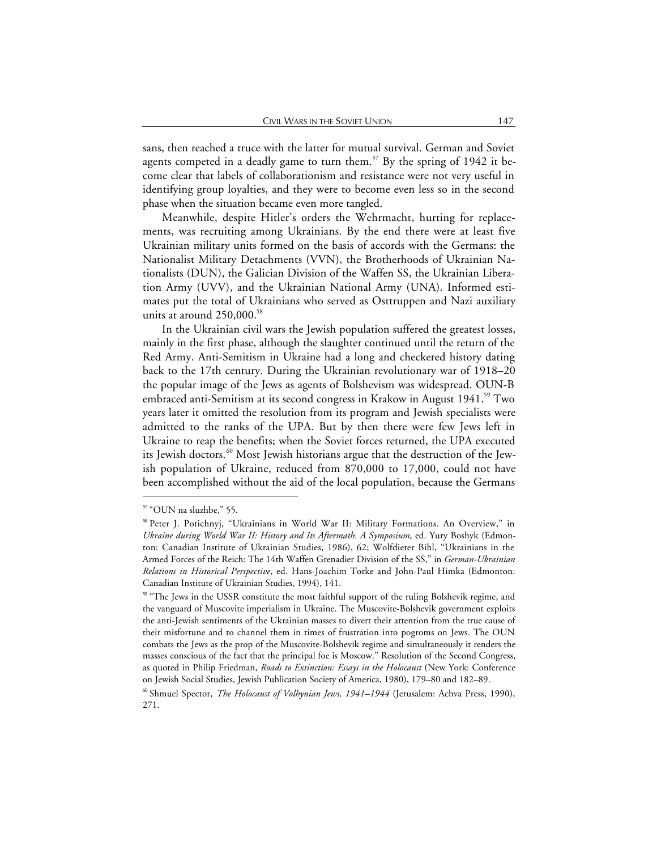sans, then reached a truce with the latter for mutual survival. German and Soviet agents competed in a deadly game to turn them.<sup>57</sup> By the spring of 1942 it become clear that labels of collaborationism and resistance were not very useful in identifying group loyalties, and they were to become even less so in the second phase when the situation became even more tangled.

Meanwhile, despite Hitler's orders the Wehrmacht, hurting for replacements, was recruiting among Ukrainians. By the end there were at least five Ukrainian military units formed on the basis of accords with the Germans: the Nationalist Military Detachments (VVN), the Brotherhoods of Ukrainian Nationalists (DUN), the Galician Division of the Waffen SS, the Ukrainian Liberation Army (UVV), and the Ukrainian National Army (UNA). Informed estimates put the total of Ukrainians who served as Osttruppen and Nazi auxiliary units at around  $250,000^{58}$ 

In the Ukrainian civil wars the Jewish population suffered the greatest losses, mainly in the first phase, although the slaughter continued until the return of the Red Army. Anti-Semitism in Ukraine had a long and checkered history dating back to the 17th century. During the Ukrainian revolutionary war of 1918–20 the popular image of the Jews as agents of Bolshevism was widespread. OUN-B embraced anti-Semitism at its second congress in Krakow in August 1941.<sup>59</sup> Two years later it omitted the resolution from its program and Jewish specialists were admitted to the ranks of the UPA. But by then there were few Jews left in Ukraine to reap the benefits; when the Soviet forces returned, the UPA executed its Jewish doctors.<sup>60</sup> Most Jewish historians argue that the destruction of the Jewish population of Ukraine, reduced from 870,000 to 17,000, could not have been accomplished without the aid of the local population, because the Germans

 <sup>57 &</sup>quot;OUN na sluzhbe," 55.

<sup>58</sup> Peter J. Potichnyj, "Ukrainians in World War II: Military Formations. An Overview," in *Ukraine during World War II: History and Its Aftermath. A Symposium*, ed. Yury Boshyk (Edmonton: Canadian Institute of Ukrainian Studies, 1986), 62; Wolfdieter Bihl, "Ukrainians in the Armed Forces of the Reich: The 14th Waffen Grenadier Division of the SS," in *German-Ukrainian Relations in Historical Perspective*, ed. Hans-Joachim Torke and John-Paul Himka (Edmonton: Canadian Institute of Ukrainian Studies, 1994), 141.

<sup>59 &</sup>quot;The Jews in the USSR constitute the most faithful support of the ruling Bolshevik regime, and the vanguard of Muscovite imperialism in Ukraine. The Muscovite-Bolshevik government exploits the anti-Jewish sentiments of the Ukrainian masses to divert their attention from the true cause of their misfortune and to channel them in times of frustration into pogroms on Jews. The OUN combats the Jews as the prop of the Muscovite-Bolshevik regime and simultaneously it renders the masses conscious of the fact that the principal foe is Moscow." Resolution of the Second Congress, as quoted in Philip Friedman, *Roads to Extinction: Essays in the Holocaust* (New York: Conference on Jewish Social Studies, Jewish Publication Society of America, 1980), 179–80 and 182–89.

<sup>60</sup> Shmuel Spector, *The Holocaust of Volhynian Jews, 1941–1944* (Jerusalem: Achva Press, 1990), 271.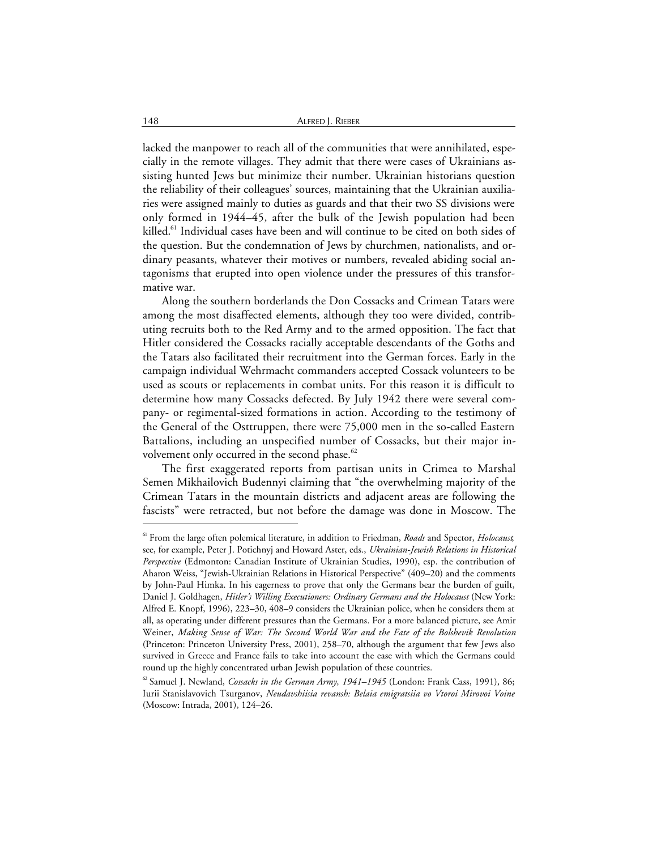lacked the manpower to reach all of the communities that were annihilated, especially in the remote villages. They admit that there were cases of Ukrainians assisting hunted Jews but minimize their number. Ukrainian historians question the reliability of their colleagues' sources, maintaining that the Ukrainian auxiliaries were assigned mainly to duties as guards and that their two SS divisions were only formed in 1944–45, after the bulk of the Jewish population had been killed.<sup>61</sup> Individual cases have been and will continue to be cited on both sides of the question. But the condemnation of Jews by churchmen, nationalists, and ordinary peasants, whatever their motives or numbers, revealed abiding social antagonisms that erupted into open violence under the pressures of this transformative war.

Along the southern borderlands the Don Cossacks and Crimean Tatars were among the most disaffected elements, although they too were divided, contributing recruits both to the Red Army and to the armed opposition. The fact that Hitler considered the Cossacks racially acceptable descendants of the Goths and the Tatars also facilitated their recruitment into the German forces. Early in the campaign individual Wehrmacht commanders accepted Cossack volunteers to be used as scouts or replacements in combat units. For this reason it is difficult to determine how many Cossacks defected. By July 1942 there were several company- or regimental-sized formations in action. According to the testimony of the General of the Osttruppen, there were 75,000 men in the so-called Eastern Battalions, including an unspecified number of Cossacks, but their major involvement only occurred in the second phase. $62$ 

The first exaggerated reports from partisan units in Crimea to Marshal Semen Mikhailovich Budennyi claiming that "the overwhelming majority of the Crimean Tatars in the mountain districts and adjacent areas are following the fascists" were retracted, but not before the damage was done in Moscow. The

 <sup>61</sup> From the large often polemical literature, in addition to Friedman, *Roads* and Spector, *Holocaust*, see, for example, Peter J. Potichnyj and Howard Aster, eds., *Ukrainian-Jewish Relations in Historical Perspective* (Edmonton: Canadian Institute of Ukrainian Studies, 1990), esp. the contribution of Aharon Weiss, "Jewish-Ukrainian Relations in Historical Perspective" (409–20) and the comments by John-Paul Himka. In his eagerness to prove that only the Germans bear the burden of guilt, Daniel J. Goldhagen, *Hitler's Willing Executioners: Ordinary Germans and the Holocaust* (New York: Alfred E. Knopf, 1996), 223–30, 408–9 considers the Ukrainian police, when he considers them at all, as operating under different pressures than the Germans. For a more balanced picture, see Amir Weiner, *Making Sense of War: The Second World War and the Fate of the Bolshevik Revolution* (Princeton: Princeton University Press, 2001), 258–70, although the argument that few Jews also survived in Greece and France fails to take into account the ease with which the Germans could round up the highly concentrated urban Jewish population of these countries.

<sup>62</sup> Samuel J. Newland, *Cossacks in the German Army, 1941–1945* (London: Frank Cass, 1991), 86; Iurii Stanislavovich Tsurganov, *Neudavshiisia revansh: Belaia emigratsiia vo Vtoroi Mirovoi Voine* (Moscow: Intrada, 2001), 124–26.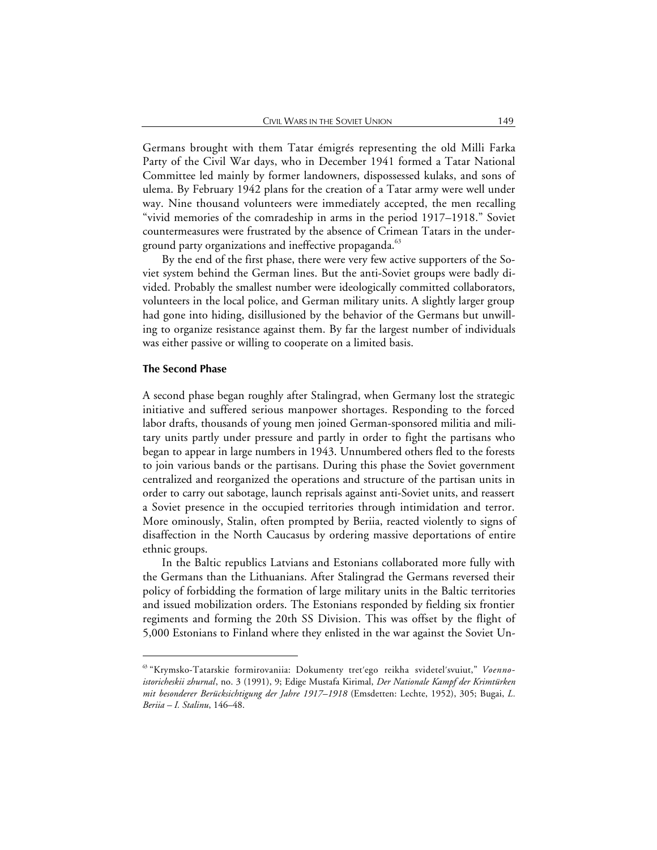Germans brought with them Tatar émigrés representing the old Milli Farka Party of the Civil War days, who in December 1941 formed a Tatar National Committee led mainly by former landowners, dispossessed kulaks, and sons of ulema. By February 1942 plans for the creation of a Tatar army were well under way. Nine thousand volunteers were immediately accepted, the men recalling "vivid memories of the comradeship in arms in the period 1917–1918." Soviet countermeasures were frustrated by the absence of Crimean Tatars in the underground party organizations and ineffective propaganda.<sup>63</sup>

By the end of the first phase, there were very few active supporters of the Soviet system behind the German lines. But the anti-Soviet groups were badly divided. Probably the smallest number were ideologically committed collaborators, volunteers in the local police, and German military units. A slightly larger group had gone into hiding, disillusioned by the behavior of the Germans but unwilling to organize resistance against them. By far the largest number of individuals was either passive or willing to cooperate on a limited basis.

### **The Second Phase**

A second phase began roughly after Stalingrad, when Germany lost the strategic initiative and suffered serious manpower shortages. Responding to the forced labor drafts, thousands of young men joined German-sponsored militia and military units partly under pressure and partly in order to fight the partisans who began to appear in large numbers in 1943. Unnumbered others fled to the forests to join various bands or the partisans. During this phase the Soviet government centralized and reorganized the operations and structure of the partisan units in order to carry out sabotage, launch reprisals against anti-Soviet units, and reassert a Soviet presence in the occupied territories through intimidation and terror. More ominously, Stalin, often prompted by Beriia, reacted violently to signs of disaffection in the North Caucasus by ordering massive deportations of entire ethnic groups.

In the Baltic republics Latvians and Estonians collaborated more fully with the Germans than the Lithuanians. After Stalingrad the Germans reversed their policy of forbidding the formation of large military units in the Baltic territories and issued mobilization orders. The Estonians responded by fielding six frontier regiments and forming the 20th SS Division. This was offset by the flight of 5,000 Estonians to Finland where they enlisted in the war against the Soviet Un-

 <sup>63 &</sup>quot;Krymsko-Tatarskie formirovaniia: Dokumenty tret′ego reikha svidetel′svuiut," *Voennoistoricheskii zhurnal*, no. 3 (1991), 9; Edige Mustafa Kirimal, *Der Nationale Kampf der Krimtürken mit besonderer Berücksichtigung der Jahre 1917–1918* (Emsdetten: Lechte, 1952), 305; Bugai, *L. Beriia – I. Stalinu*, 146–48.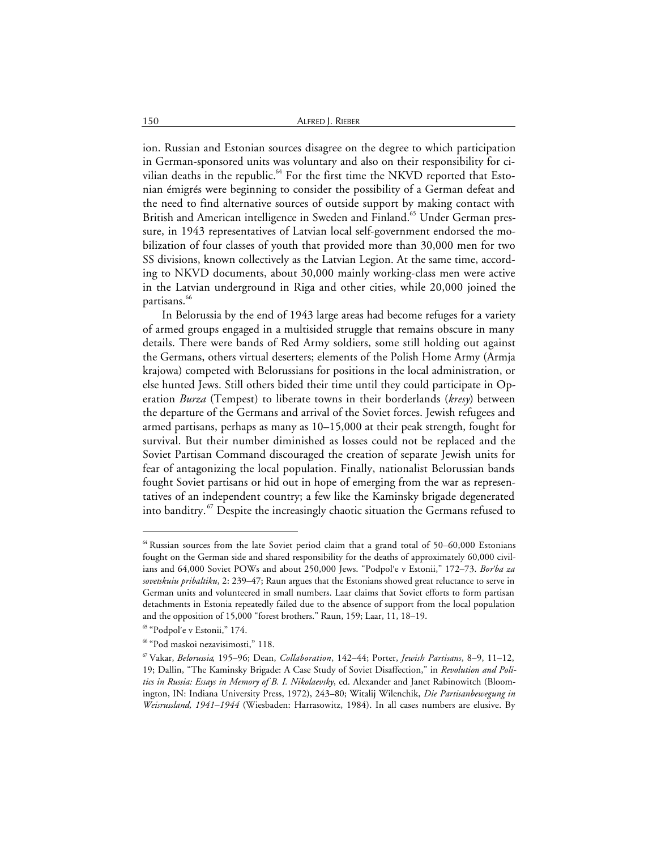ion. Russian and Estonian sources disagree on the degree to which participation in German-sponsored units was voluntary and also on their responsibility for civilian deaths in the republic.<sup>64</sup> For the first time the NKVD reported that Estonian émigrés were beginning to consider the possibility of a German defeat and the need to find alternative sources of outside support by making contact with British and American intelligence in Sweden and Finland.<sup>65</sup> Under German pressure, in 1943 representatives of Latvian local self-government endorsed the mobilization of four classes of youth that provided more than 30,000 men for two SS divisions, known collectively as the Latvian Legion. At the same time, according to NKVD documents, about 30,000 mainly working-class men were active in the Latvian underground in Riga and other cities, while 20,000 joined the partisans.<sup>66</sup>

In Belorussia by the end of 1943 large areas had become refuges for a variety of armed groups engaged in a multisided struggle that remains obscure in many details. There were bands of Red Army soldiers, some still holding out against the Germans, others virtual deserters; elements of the Polish Home Army (Armja krajowa) competed with Belorussians for positions in the local administration, or else hunted Jews. Still others bided their time until they could participate in Operation *Burza* (Tempest) to liberate towns in their borderlands (*kresy*) between the departure of the Germans and arrival of the Soviet forces. Jewish refugees and armed partisans, perhaps as many as 10–15,000 at their peak strength, fought for survival. But their number diminished as losses could not be replaced and the Soviet Partisan Command discouraged the creation of separate Jewish units for fear of antagonizing the local population. Finally, nationalist Belorussian bands fought Soviet partisans or hid out in hope of emerging from the war as representatives of an independent country; a few like the Kaminsky brigade degenerated into banditry. 67 Despite the increasingly chaotic situation the Germans refused to

 $64$  Russian sources from the late Soviet period claim that a grand total of 50–60,000 Estonians fought on the German side and shared responsibility for the deaths of approximately 60,000 civilians and 64,000 Soviet POWs and about 250,000 Jews. "Podpol′e v Estonii," 172–73. *Bor*′*ba za sovetskuiu pribaltiku*, 2: 239–47; Raun argues that the Estonians showed great reluctance to serve in German units and volunteered in small numbers. Laar claims that Soviet efforts to form partisan detachments in Estonia repeatedly failed due to the absence of support from the local population and the opposition of 15,000 "forest brothers." Raun, 159; Laar, 11, 18–19.

<sup>65 &</sup>quot;Podpol′e v Estonii," 174.

<sup>66 &</sup>quot;Pod maskoi nezavisimosti," 118.

<sup>67</sup> Vakar, *Belorussia*, 195–96; Dean, *Collaboration*, 142–44; Porter, *Jewish Partisans*, 8–9, 11–12, 19; Dallin, "The Kaminsky Brigade: A Case Study of Soviet Disaffection," in *Revolution and Politics in Russia: Essays in Memory of B. I. Nikolaevsky*, ed. Alexander and Janet Rabinowitch (Bloomington, IN: Indiana University Press, 1972), 243–80; Witalij Wilenchik, *Die Partisanbewegung in Weisrussland, 1941–1944* (Wiesbaden: Harrasowitz, 1984). In all cases numbers are elusive. By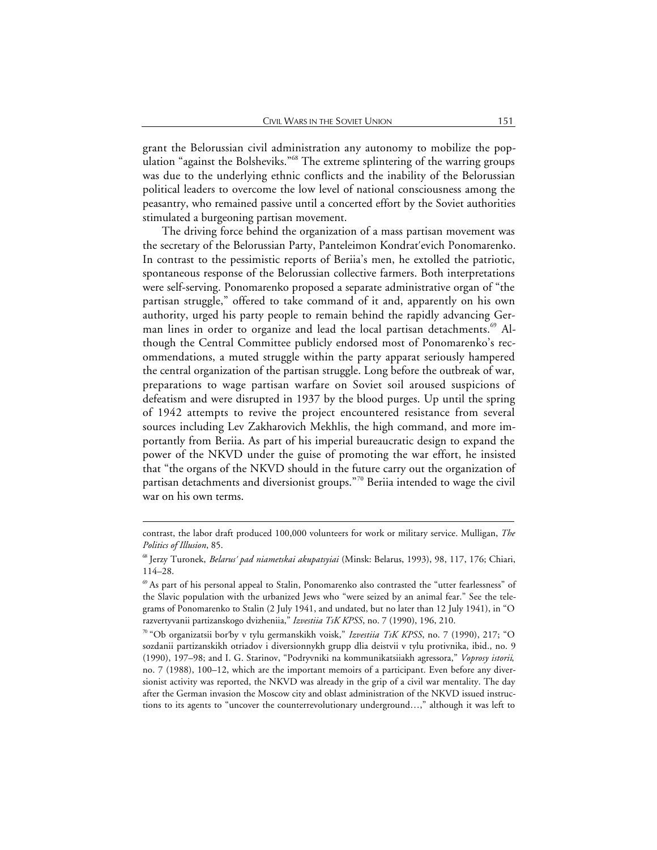grant the Belorussian civil administration any autonomy to mobilize the population "against the Bolsheviks."<sup>68</sup> The extreme splintering of the warring groups was due to the underlying ethnic conflicts and the inability of the Belorussian political leaders to overcome the low level of national consciousness among the peasantry, who remained passive until a concerted effort by the Soviet authorities stimulated a burgeoning partisan movement.

The driving force behind the organization of a mass partisan movement was the secretary of the Belorussian Party, Panteleimon Kondrat′evich Ponomarenko. In contrast to the pessimistic reports of Beriia's men, he extolled the patriotic, spontaneous response of the Belorussian collective farmers. Both interpretations were self-serving. Ponomarenko proposed a separate administrative organ of "the partisan struggle," offered to take command of it and, apparently on his own authority, urged his party people to remain behind the rapidly advancing German lines in order to organize and lead the local partisan detachments.<sup>69</sup> Although the Central Committee publicly endorsed most of Ponomarenko's recommendations, a muted struggle within the party apparat seriously hampered the central organization of the partisan struggle. Long before the outbreak of war, preparations to wage partisan warfare on Soviet soil aroused suspicions of defeatism and were disrupted in 1937 by the blood purges. Up until the spring of 1942 attempts to revive the project encountered resistance from several sources including Lev Zakharovich Mekhlis, the high command, and more importantly from Beriia. As part of his imperial bureaucratic design to expand the power of the NKVD under the guise of promoting the war effort, he insisted that "the organs of the NKVD should in the future carry out the organization of partisan detachments and diversionist groups."70 Beriia intended to wage the civil war on his own terms.

-

contrast, the labor draft produced 100,000 volunteers for work or military service. Mulligan, *The Politics of Illusion*, 85.

<sup>68</sup> Jerzy Turonek, *Belarus*′ *pad niametskai akupatsyiai* (Minsk: Belarus, 1993), 98, 117, 176; Chiari, 114–28.

 $^{\omega}$  As part of his personal appeal to Stalin, Ponomarenko also contrasted the "utter fearlessness" of the Slavic population with the urbanized Jews who "were seized by an animal fear." See the telegrams of Ponomarenko to Stalin (2 July 1941, and undated, but no later than 12 July 1941), in "O razvertyvanii partizanskogo dvizheniia," *Izvestiia TsK KPSS*, no. 7 (1990), 196, 210.

<sup>70 &</sup>quot;Ob organizatsii bor′by v tylu germanskikh voisk," *Izvestiia TsK KPSS*, no. 7 (1990), 217; "O sozdanii partizanskikh otriadov i diversionnykh grupp dlia deistvii v tylu protivnika, ibid., no. 9 (1990), 197–98; and I. G. Starinov, "Podryvniki na kommunikatsiiakh agressora," *Voprosy istorii*, no. 7 (1988), 100–12, which are the important memoirs of a participant. Even before any diversionist activity was reported, the NKVD was already in the grip of a civil war mentality. The day after the German invasion the Moscow city and oblast administration of the NKVD issued instructions to its agents to "uncover the counterrevolutionary underground…," although it was left to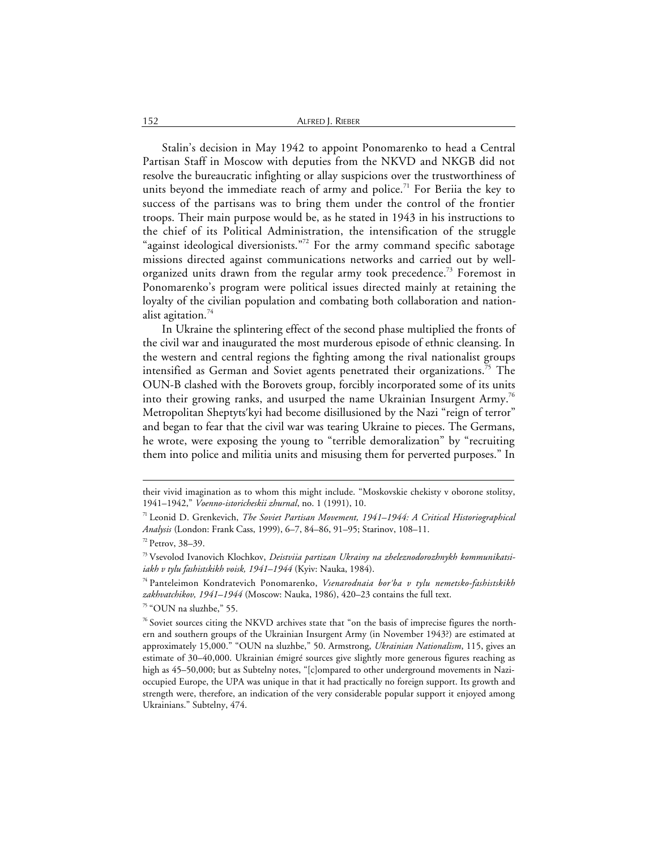Stalin's decision in May 1942 to appoint Ponomarenko to head a Central Partisan Staff in Moscow with deputies from the NKVD and NKGB did not resolve the bureaucratic infighting or allay suspicions over the trustworthiness of units beyond the immediate reach of army and police.<sup>71</sup> For Beriia the key to success of the partisans was to bring them under the control of the frontier troops. Their main purpose would be, as he stated in 1943 in his instructions to the chief of its Political Administration, the intensification of the struggle "against ideological diversionists."<sup>72</sup> For the army command specific sabotage missions directed against communications networks and carried out by wellorganized units drawn from the regular army took precedence.<sup>73</sup> Foremost in Ponomarenko's program were political issues directed mainly at retaining the loyalty of the civilian population and combating both collaboration and nationalist agitation. $74$ 

In Ukraine the splintering effect of the second phase multiplied the fronts of the civil war and inaugurated the most murderous episode of ethnic cleansing. In the western and central regions the fighting among the rival nationalist groups intensified as German and Soviet agents penetrated their organizations.<sup>75</sup> The OUN-B clashed with the Borovets group, forcibly incorporated some of its units into their growing ranks, and usurped the name Ukrainian Insurgent Army.<sup>76</sup> Metropolitan Sheptyts′kyi had become disillusioned by the Nazi "reign of terror" and began to fear that the civil war was tearing Ukraine to pieces. The Germans, he wrote, were exposing the young to "terrible demoralization" by "recruiting them into police and militia units and misusing them for perverted purposes." In

-

their vivid imagination as to whom this might include. "Moskovskie chekisty v oborone stolitsy, 1941–1942," *Voenno-istoricheskii zhurnal*, no. 1 (1991), 10.

<sup>71</sup> Leonid D. Grenkevich, *The Soviet Partisan Movement, 1941–1944: A Critical Historiographical Analysis* (London: Frank Cass, 1999), 6–7, 84–86, 91–95; Starinov, 108–11.

 $72$  Petrov, 38–39.

<sup>73</sup> Vsevolod Ivanovich Klochkov, *Deistviia partizan Ukrainy na zheleznodorozhnykh kommunikatsiiakh v tylu fashistskikh voisk, 1941–1944* (Kyiv: Nauka, 1984).

<sup>74</sup> Panteleimon Kondratevich Ponomarenko, *Vsenarodnaia bor*′*ba v tylu nemetsko-fashistskikh zakhvatchikov, 1941–1944* (Moscow: Nauka, 1986), 420–23 contains the full text.  $\frac{75}{10}$  "OUN na sluzhbe," 55.

 $\%$  Soviet sources citing the NKVD archives state that "on the basis of imprecise figures the northern and southern groups of the Ukrainian Insurgent Army (in November 1943?) are estimated at approximately 15,000." "OUN na sluzhbe," 50. Armstrong, *Ukrainian Nationalism*, 115, gives an estimate of 30–40,000. Ukrainian émigré sources give slightly more generous figures reaching as high as 45–50,000; but as Subtelny notes, "[c]ompared to other underground movements in Nazioccupied Europe, the UPA was unique in that it had practically no foreign support. Its growth and strength were, therefore, an indication of the very considerable popular support it enjoyed among Ukrainians." Subtelny, 474.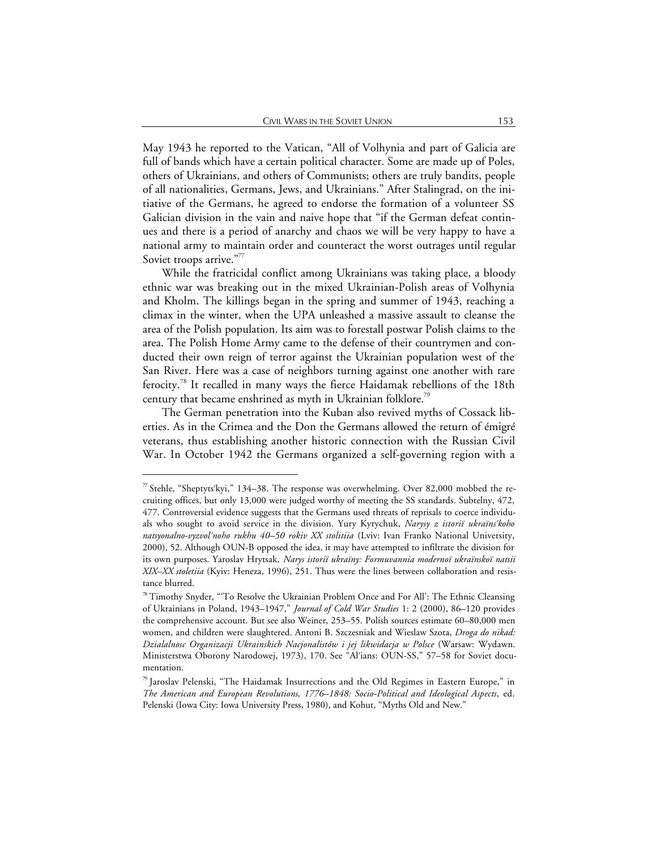May 1943 he reported to the Vatican, "All of Volhynia and part of Galicia are full of bands which have a certain political character. Some are made up of Poles, others of Ukrainians, and others of Communists; others are truly bandits, people of all nationalities, Germans, Jews, and Ukrainians." After Stalingrad, on the initiative of the Germans, he agreed to endorse the formation of a volunteer SS Galician division in the vain and naive hope that "if the German defeat continues and there is a period of anarchy and chaos we will be very happy to have a national army to maintain order and counteract the worst outrages until regular Soviet troops arrive."<sup>77</sup>

While the fratricidal conflict among Ukrainians was taking place, a bloody ethnic war was breaking out in the mixed Ukrainian-Polish areas of Volhynia and Kholm. The killings began in the spring and summer of 1943, reaching a climax in the winter, when the UPA unleashed a massive assault to cleanse the area of the Polish population. Its aim was to forestall postwar Polish claims to the area. The Polish Home Army came to the defense of their countrymen and conducted their own reign of terror against the Ukrainian population west of the San River. Here was a case of neighbors turning against one another with rare ferocity.78 It recalled in many ways the fierce Haidamak rebellions of the 18th century that became enshrined as myth in Ukrainian folklore.<sup>79</sup>

The German penetration into the Kuban also revived myths of Cossack liberties. As in the Crimea and the Don the Germans allowed the return of émigré veterans, thus establishing another historic connection with the Russian Civil War. In October 1942 the Germans organized a self-governing region with a

 $\%$  Stehle, "Sheptyts'kyi," 134–38. The response was overwhelming. Over 82,000 mobbed the recruiting offices, but only 13,000 were judged worthy of meeting the SS standards. Subtelny, 472, 477. Controversial evidence suggests that the Germans used threats of reprisals to coerce individuals who sought to avoid service in the division. Yury Kyrychuk, *Narysy z istoriï ukraïns*′*koho natsyonalno-vyzvol*′*noho rukhu 40–50 rokiv XX stolitiia* (Lviv: Ivan Franko National University, 2000), 52. Although OUN-B opposed the idea, it may have attempted to infiltrate the division for its own purposes. Yaroslav Hrytsak, *Narys istoriï ukraïny: Formuvannia modernoï ukraïnskoï natsii XIX–XX stoletiia* (Kyiv: Heneza, 1996), 251. Thus were the lines between collaboration and resistance blurred.

<sup>78</sup> Timothy Snyder, "'To Resolve the Ukrainian Problem Once and For All': The Ethnic Cleansing of Ukrainians in Poland, 1943–1947," *Journal of Cold War Studies* 1: 2 (2000), 86–120 provides the comprehensive account. But see also Weiner, 253–55. Polish sources estimate 60–80,000 men women, and children were slaughtered. Antoni B. Szczesniak and Wieslaw Szota, *Droga do nikad: Dzialalnosc Organizacji Ukrainskich Nacjonalistów i jej likwidacja w Polsce* (Warsaw: Wydawn. Ministerstwa Oborony Narodowej, 1973), 170. See "Al′ians: OUN-SS," 57–58 for Soviet documentation.

 $^{\text{7}}$  Jaroslav Pelenski, "The Haidamak Insurrections and the Old Regimes in Eastern Europe," in *The American and European Revolutions, 1776–1848: Socio-Political and Ideological Aspects*, ed. Pelenski (Iowa City: Iowa University Press, 1980), and Kohut, "Myths Old and New."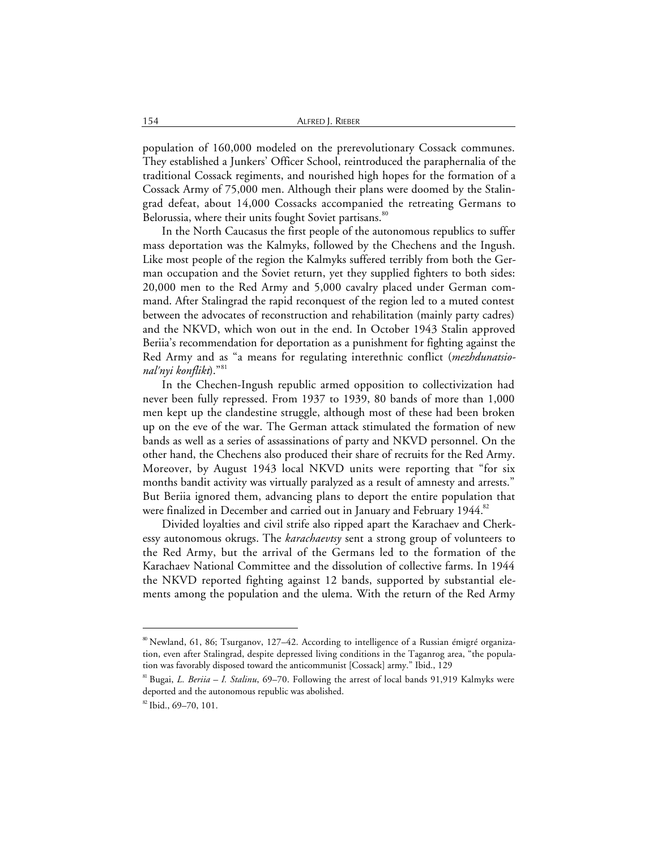population of 160,000 modeled on the prerevolutionary Cossack communes. They established a Junkers' Officer School, reintroduced the paraphernalia of the traditional Cossack regiments, and nourished high hopes for the formation of a Cossack Army of 75,000 men. Although their plans were doomed by the Stalingrad defeat, about 14,000 Cossacks accompanied the retreating Germans to Belorussia, where their units fought Soviet partisans.<sup>80</sup>

In the North Caucasus the first people of the autonomous republics to suffer mass deportation was the Kalmyks, followed by the Chechens and the Ingush. Like most people of the region the Kalmyks suffered terribly from both the German occupation and the Soviet return, yet they supplied fighters to both sides: 20,000 men to the Red Army and 5,000 cavalry placed under German command. After Stalingrad the rapid reconquest of the region led to a muted contest between the advocates of reconstruction and rehabilitation (mainly party cadres) and the NKVD, which won out in the end. In October 1943 Stalin approved Beriia's recommendation for deportation as a punishment for fighting against the Red Army and as "a means for regulating interethnic conflict (*mezhdunatsional*′*nyi konflikt*)."<sup>81</sup>

In the Chechen-Ingush republic armed opposition to collectivization had never been fully repressed. From 1937 to 1939, 80 bands of more than 1,000 men kept up the clandestine struggle, although most of these had been broken up on the eve of the war. The German attack stimulated the formation of new bands as well as a series of assassinations of party and NKVD personnel. On the other hand, the Chechens also produced their share of recruits for the Red Army. Moreover, by August 1943 local NKVD units were reporting that "for six months bandit activity was virtually paralyzed as a result of amnesty and arrests." But Beriia ignored them, advancing plans to deport the entire population that were finalized in December and carried out in January and February 1944.<sup>82</sup>

Divided loyalties and civil strife also ripped apart the Karachaev and Cherkessy autonomous okrugs. The *karachaevtsy* sent a strong group of volunteers to the Red Army, but the arrival of the Germans led to the formation of the Karachaev National Committee and the dissolution of collective farms. In 1944 the NKVD reported fighting against 12 bands, supported by substantial elements among the population and the ulema. With the return of the Red Army

 $80$  Newland, 61, 86; Tsurganov, 127–42. According to intelligence of a Russian émigré organization, even after Stalingrad, despite depressed living conditions in the Taganrog area, "the population was favorably disposed toward the anticommunist [Cossack] army." Ibid., 129

<sup>81</sup> Bugai, *L. Beriia – I. Stalinu*, 69–70. Following the arrest of local bands 91,919 Kalmyks were deported and the autonomous republic was abolished.

 $^{82}$  Ibid., 69-70, 101.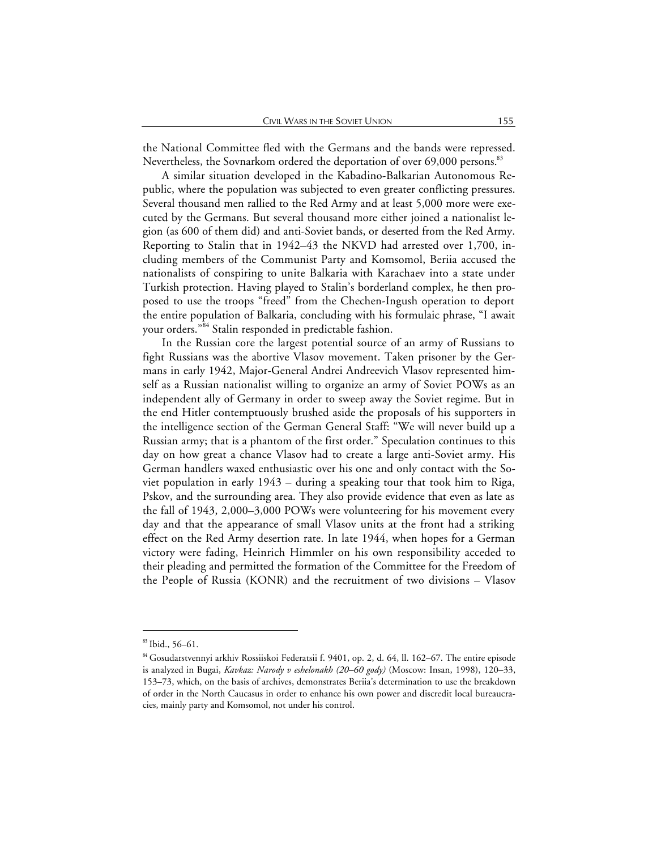the National Committee fled with the Germans and the bands were repressed. Nevertheless, the Sovnarkom ordered the deportation of over 69,000 persons.<sup>83</sup>

A similar situation developed in the Kabadino-Balkarian Autonomous Republic, where the population was subjected to even greater conflicting pressures. Several thousand men rallied to the Red Army and at least 5,000 more were executed by the Germans. But several thousand more either joined a nationalist legion (as 600 of them did) and anti-Soviet bands, or deserted from the Red Army. Reporting to Stalin that in 1942–43 the NKVD had arrested over 1,700, including members of the Communist Party and Komsomol, Beriia accused the nationalists of conspiring to unite Balkaria with Karachaev into a state under Turkish protection. Having played to Stalin's borderland complex, he then proposed to use the troops "freed" from the Chechen-Ingush operation to deport the entire population of Balkaria, concluding with his formulaic phrase, "I await your orders."84 Stalin responded in predictable fashion.

In the Russian core the largest potential source of an army of Russians to fight Russians was the abortive Vlasov movement. Taken prisoner by the Germans in early 1942, Major-General Andrei Andreevich Vlasov represented himself as a Russian nationalist willing to organize an army of Soviet POWs as an independent ally of Germany in order to sweep away the Soviet regime. But in the end Hitler contemptuously brushed aside the proposals of his supporters in the intelligence section of the German General Staff: "We will never build up a Russian army; that is a phantom of the first order." Speculation continues to this day on how great a chance Vlasov had to create a large anti-Soviet army. His German handlers waxed enthusiastic over his one and only contact with the Soviet population in early 1943 – during a speaking tour that took him to Riga, Pskov, and the surrounding area. They also provide evidence that even as late as the fall of 1943, 2,000–3,000 POWs were volunteering for his movement every day and that the appearance of small Vlasov units at the front had a striking effect on the Red Army desertion rate. In late 1944, when hopes for a German victory were fading, Heinrich Himmler on his own responsibility acceded to their pleading and permitted the formation of the Committee for the Freedom of the People of Russia (KONR) and the recruitment of two divisions – Vlasov

 $83$  Ibid., 56–61.

<sup>&</sup>lt;sup>84</sup> Gosudarstvennyi arkhiv Rossiiskoi Federatsii f. 9401, op. 2, d. 64, ll. 162–67. The entire episode is analyzed in Bugai, *Kavkaz: Narody v eshelonakh (20–60 gody)* (Moscow: Insan, 1998), 120–33, 153–73, which, on the basis of archives, demonstrates Beriia's determination to use the breakdown of order in the North Caucasus in order to enhance his own power and discredit local bureaucracies, mainly party and Komsomol, not under his control.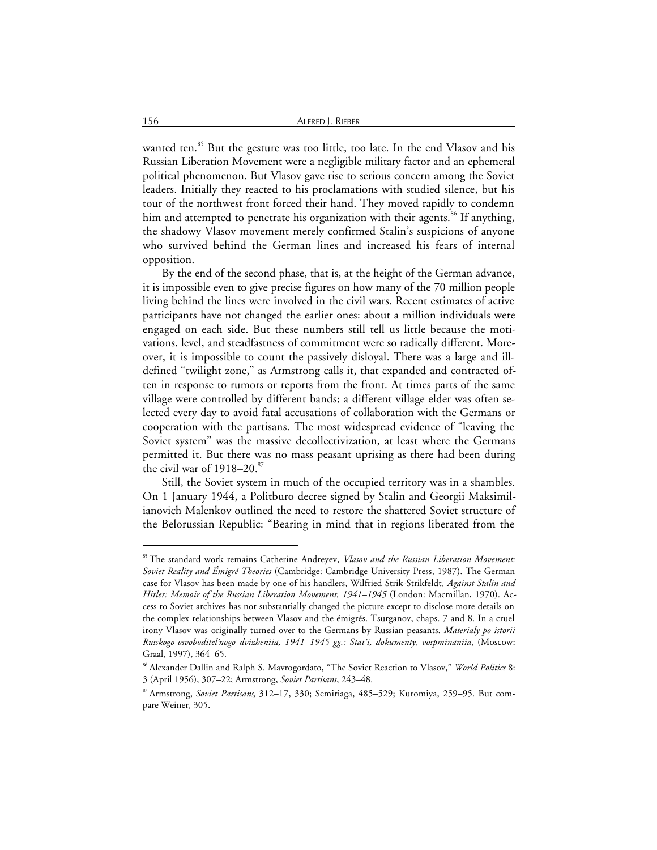wanted ten.<sup>85</sup> But the gesture was too little, too late. In the end Vlasov and his Russian Liberation Movement were a negligible military factor and an ephemeral political phenomenon. But Vlasov gave rise to serious concern among the Soviet leaders. Initially they reacted to his proclamations with studied silence, but his tour of the northwest front forced their hand. They moved rapidly to condemn him and attempted to penetrate his organization with their agents.<sup>86</sup> If anything, the shadowy Vlasov movement merely confirmed Stalin's suspicions of anyone who survived behind the German lines and increased his fears of internal opposition.

By the end of the second phase, that is, at the height of the German advance, it is impossible even to give precise figures on how many of the 70 million people living behind the lines were involved in the civil wars. Recent estimates of active participants have not changed the earlier ones: about a million individuals were engaged on each side. But these numbers still tell us little because the motivations, level, and steadfastness of commitment were so radically different. Moreover, it is impossible to count the passively disloyal. There was a large and illdefined "twilight zone," as Armstrong calls it, that expanded and contracted often in response to rumors or reports from the front. At times parts of the same village were controlled by different bands; a different village elder was often selected every day to avoid fatal accusations of collaboration with the Germans or cooperation with the partisans. The most widespread evidence of "leaving the Soviet system" was the massive decollectivization, at least where the Germans permitted it. But there was no mass peasant uprising as there had been during the civil war of  $1918-20.^{87}$ 

Still, the Soviet system in much of the occupied territory was in a shambles. On 1 January 1944, a Politburo decree signed by Stalin and Georgii Maksimilianovich Malenkov outlined the need to restore the shattered Soviet structure of the Belorussian Republic: "Bearing in mind that in regions liberated from the

 <sup>85</sup> The standard work remains Catherine Andreyev, *Vlasov and the Russian Liberation Movement: Soviet Reality and Émigré Theories* (Cambridge: Cambridge University Press, 1987). The German case for Vlasov has been made by one of his handlers, Wilfried Strik-Strikfeldt, *Against Stalin and Hitler: Memoir of the Russian Liberation Movement, 1941–1945* (London: Macmillan, 1970). Access to Soviet archives has not substantially changed the picture except to disclose more details on the complex relationships between Vlasov and the émigrés. Tsurganov, chaps. 7 and 8. In a cruel irony Vlasov was originally turned over to the Germans by Russian peasants. *Materialy po istorii Russkogo osvoboditel*′*nogo dvizheniia, 1941–1945 gg.: Stat*′*i, dokumenty, vospminaniia*, (Moscow: Graal, 1997), 364–65.

<sup>86</sup> Alexander Dallin and Ralph S. Mavrogordato, "The Soviet Reaction to Vlasov," *World Politics* 8: 3 (April 1956), 307–22; Armstrong, *Soviet Partisans*, 243–48.

<sup>87</sup> Armstrong, *Soviet Partisans*, 312–17, 330; Semiriaga, 485–529; Kuromiya, 259–95. But compare Weiner, 305.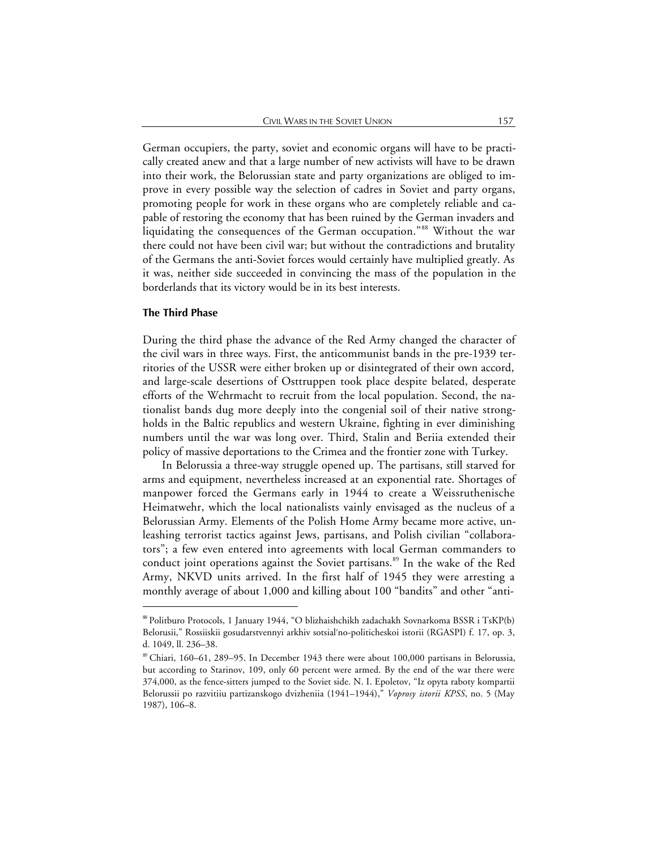German occupiers, the party, soviet and economic organs will have to be practically created anew and that a large number of new activists will have to be drawn into their work, the Belorussian state and party organizations are obliged to improve in every possible way the selection of cadres in Soviet and party organs, promoting people for work in these organs who are completely reliable and capable of restoring the economy that has been ruined by the German invaders and liquidating the consequences of the German occupation."88 Without the war there could not have been civil war; but without the contradictions and brutality of the Germans the anti-Soviet forces would certainly have multiplied greatly. As it was, neither side succeeded in convincing the mass of the population in the borderlands that its victory would be in its best interests.

#### **The Third Phase**

During the third phase the advance of the Red Army changed the character of the civil wars in three ways. First, the anticommunist bands in the pre-1939 territories of the USSR were either broken up or disintegrated of their own accord, and large-scale desertions of Osttruppen took place despite belated, desperate efforts of the Wehrmacht to recruit from the local population. Second, the nationalist bands dug more deeply into the congenial soil of their native strongholds in the Baltic republics and western Ukraine, fighting in ever diminishing numbers until the war was long over. Third, Stalin and Beriia extended their policy of massive deportations to the Crimea and the frontier zone with Turkey.

In Belorussia a three-way struggle opened up. The partisans, still starved for arms and equipment, nevertheless increased at an exponential rate. Shortages of manpower forced the Germans early in 1944 to create a Weissruthenische Heimatwehr, which the local nationalists vainly envisaged as the nucleus of a Belorussian Army. Elements of the Polish Home Army became more active, unleashing terrorist tactics against Jews, partisans, and Polish civilian "collaborators"; a few even entered into agreements with local German commanders to conduct joint operations against the Soviet partisans.<sup>89</sup> In the wake of the Red Army, NKVD units arrived. In the first half of 1945 they were arresting a monthly average of about 1,000 and killing about 100 "bandits" and other "anti-

 <sup>88</sup> Politburo Protocols, 1 January 1944, "O blizhaishchikh zadachakh Sovnarkoma BSSR i TsKP(b) Belorusii," Rossiiskii gosudarstvennyi arkhiv sotsial′no-politicheskoi istorii (RGASPI) f. 17, op. 3, d. 1049, ll. 236–38.

 $8^{\circ}$  Chiari, 160–61, 289–95. In December 1943 there were about 100,000 partisans in Belorussia, but according to Starinov, 109, only 60 percent were armed. By the end of the war there were 374,000, as the fence-sitters jumped to the Soviet side. N. I. Epoletov, "Iz opyta raboty kompartii Belorussii po razvitiiu partizanskogo dvizheniia (1941–1944)," *Voprosy istorii KPSS*, no. 5 (May 1987), 106–8.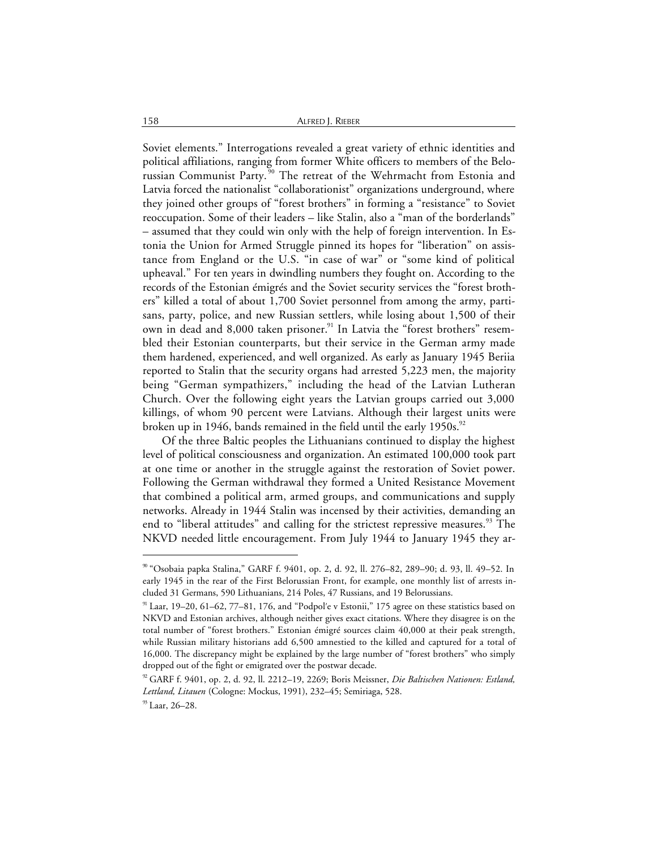Soviet elements." Interrogations revealed a great variety of ethnic identities and political affiliations, ranging from former White officers to members of the Belorussian Communist Party. 90 The retreat of the Wehrmacht from Estonia and Latvia forced the nationalist "collaborationist" organizations underground, where they joined other groups of "forest brothers" in forming a "resistance" to Soviet reoccupation. Some of their leaders – like Stalin, also a "man of the borderlands" – assumed that they could win only with the help of foreign intervention. In Estonia the Union for Armed Struggle pinned its hopes for "liberation" on assistance from England or the U.S. "in case of war" or "some kind of political upheaval." For ten years in dwindling numbers they fought on. According to the records of the Estonian émigrés and the Soviet security services the "forest brothers" killed a total of about 1,700 Soviet personnel from among the army, partisans, party, police, and new Russian settlers, while losing about 1,500 of their own in dead and 8,000 taken prisoner.<sup>91</sup> In Latvia the "forest brothers" resembled their Estonian counterparts, but their service in the German army made them hardened, experienced, and well organized. As early as January 1945 Beriia reported to Stalin that the security organs had arrested 5,223 men, the majority being "German sympathizers," including the head of the Latvian Lutheran Church. Over the following eight years the Latvian groups carried out 3,000 killings, of whom 90 percent were Latvians. Although their largest units were broken up in 1946, bands remained in the field until the early 1950s.<sup>92</sup>

Of the three Baltic peoples the Lithuanians continued to display the highest level of political consciousness and organization. An estimated 100,000 took part at one time or another in the struggle against the restoration of Soviet power. Following the German withdrawal they formed a United Resistance Movement that combined a political arm, armed groups, and communications and supply networks. Already in 1944 Stalin was incensed by their activities, demanding an end to "liberal attitudes" and calling for the strictest repressive measures.<sup>93</sup> The NKVD needed little encouragement. From July 1944 to January 1945 they ar-

 <sup>90 &</sup>quot;Osobaia papka Stalina," GARF f. 9401, op. 2, d. 92, ll. 276–82, 289–90; d. 93, ll. 49–52. In early 1945 in the rear of the First Belorussian Front, for example, one monthly list of arrests included 31 Germans, 590 Lithuanians, 214 Poles, 47 Russians, and 19 Belorussians.

 $91$  Laar, 19–20, 61–62, 77–81, 176, and "Podpol'e v Estonii," 175 agree on these statistics based on NKVD and Estonian archives, although neither gives exact citations. Where they disagree is on the total number of "forest brothers." Estonian émigré sources claim 40,000 at their peak strength, while Russian military historians add 6,500 amnestied to the killed and captured for a total of 16,000. The discrepancy might be explained by the large number of "forest brothers" who simply dropped out of the fight or emigrated over the postwar decade.

<sup>92</sup> GARF f. 9401, op. 2, d. 92, ll. 2212–19, 2269; Boris Meissner, *Die Baltischen Nationen: Estland, Lettland, Litauen* (Cologne: Mockus, 1991), 232–45; Semiriaga, 528.

 $^{93}$  Laar, 26–28.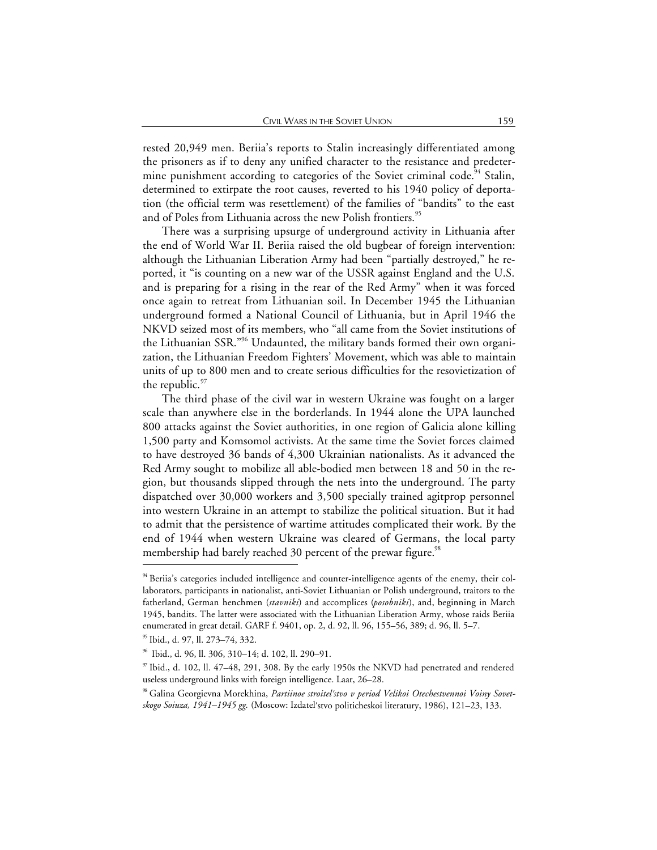rested 20,949 men. Beriia's reports to Stalin increasingly differentiated among the prisoners as if to deny any unified character to the resistance and predetermine punishment according to categories of the Soviet criminal code.<sup>94</sup> Stalin, determined to extirpate the root causes, reverted to his 1940 policy of deportation (the official term was resettlement) of the families of "bandits" to the east and of Poles from Lithuania across the new Polish frontiers.<sup>95</sup>

There was a surprising upsurge of underground activity in Lithuania after the end of World War II. Beriia raised the old bugbear of foreign intervention: although the Lithuanian Liberation Army had been "partially destroyed," he reported, it "is counting on a new war of the USSR against England and the U.S. and is preparing for a rising in the rear of the Red Army" when it was forced once again to retreat from Lithuanian soil. In December 1945 the Lithuanian underground formed a National Council of Lithuania, but in April 1946 the NKVD seized most of its members, who "all came from the Soviet institutions of the Lithuanian SSR."96 Undaunted, the military bands formed their own organization, the Lithuanian Freedom Fighters' Movement, which was able to maintain units of up to 800 men and to create serious difficulties for the resovietization of the republic.<sup>97</sup>

The third phase of the civil war in western Ukraine was fought on a larger scale than anywhere else in the borderlands. In 1944 alone the UPA launched 800 attacks against the Soviet authorities, in one region of Galicia alone killing 1,500 party and Komsomol activists. At the same time the Soviet forces claimed to have destroyed 36 bands of 4,300 Ukrainian nationalists. As it advanced the Red Army sought to mobilize all able-bodied men between 18 and 50 in the region, but thousands slipped through the nets into the underground. The party dispatched over 30,000 workers and 3,500 specially trained agitprop personnel into western Ukraine in an attempt to stabilize the political situation. But it had to admit that the persistence of wartime attitudes complicated their work. By the end of 1944 when western Ukraine was cleared of Germans, the local party membership had barely reached 30 percent of the prewar figure.<sup>98</sup>

 $94$  Beriia's categories included intelligence and counter-intelligence agents of the enemy, their collaborators, participants in nationalist, anti-Soviet Lithuanian or Polish underground, traitors to the fatherland, German henchmen (*stavniki*) and accomplices (*posobniki*), and, beginning in March 1945, bandits. The latter were associated with the Lithuanian Liberation Army, whose raids Beriia enumerated in great detail. GARF f. 9401, op. 2, d. 92, ll. 96, 155–56, 389; d. 96, ll. 5–7.

<sup>95</sup> Ibid., d. 97, ll. 273–74, 332.

<sup>96</sup> Ibid., d. 96, ll. 306, 310–14; d. 102, ll. 290–91.

 $\%$  Ibid., d. 102, ll. 47–48, 291, 308. By the early 1950s the NKVD had penetrated and rendered useless underground links with foreign intelligence. Laar, 26–28.

<sup>98</sup> Galina Georgievna Morekhina, *Partiinoe stroitel*′*stvo v period Velikoi Otechestvennoi Voiny Sovetskogo Soiuza, 1941–1945 gg.* (Moscow: Izdatel′stvo politicheskoi literatury, 1986), 121–23, 133.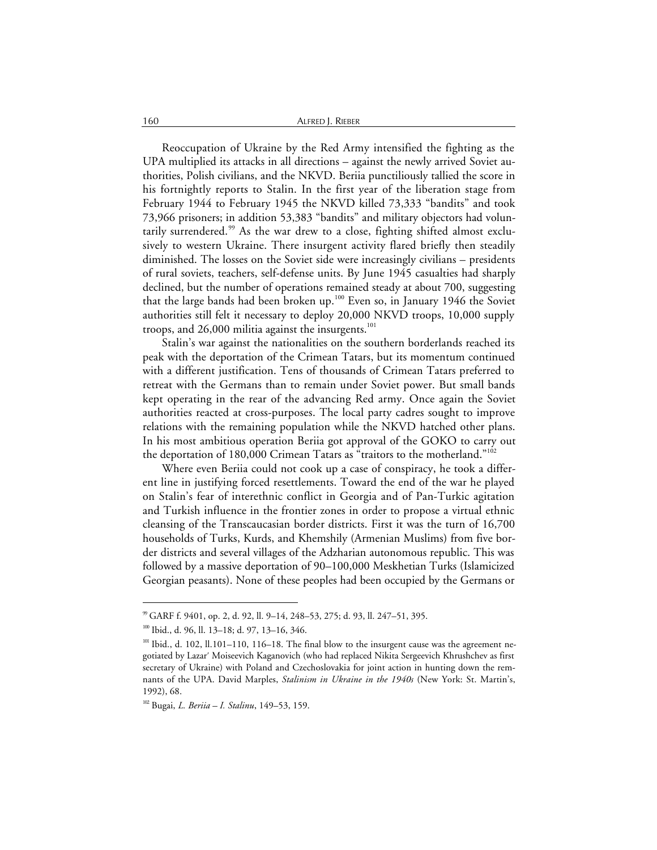Reoccupation of Ukraine by the Red Army intensified the fighting as the UPA multiplied its attacks in all directions – against the newly arrived Soviet authorities, Polish civilians, and the NKVD. Beriia punctiliously tallied the score in his fortnightly reports to Stalin. In the first year of the liberation stage from February 1944 to February 1945 the NKVD killed 73,333 "bandits" and took 73,966 prisoners; in addition 53,383 "bandits" and military objectors had voluntarily surrendered.<sup>99</sup> As the war drew to a close, fighting shifted almost exclusively to western Ukraine. There insurgent activity flared briefly then steadily diminished. The losses on the Soviet side were increasingly civilians – presidents of rural soviets, teachers, self-defense units. By June 1945 casualties had sharply declined, but the number of operations remained steady at about 700, suggesting that the large bands had been broken up.<sup>100</sup> Even so, in January 1946 the Soviet authorities still felt it necessary to deploy 20,000 NKVD troops, 10,000 supply troops, and  $26,000$  militia against the insurgents.<sup>101</sup>

Stalin's war against the nationalities on the southern borderlands reached its peak with the deportation of the Crimean Tatars, but its momentum continued with a different justification. Tens of thousands of Crimean Tatars preferred to retreat with the Germans than to remain under Soviet power. But small bands kept operating in the rear of the advancing Red army. Once again the Soviet authorities reacted at cross-purposes. The local party cadres sought to improve relations with the remaining population while the NKVD hatched other plans. In his most ambitious operation Beriia got approval of the GOKO to carry out the deportation of 180,000 Crimean Tatars as "traitors to the motherland."<sup>102</sup>

Where even Beriia could not cook up a case of conspiracy, he took a different line in justifying forced resettlements. Toward the end of the war he played on Stalin's fear of interethnic conflict in Georgia and of Pan-Turkic agitation and Turkish influence in the frontier zones in order to propose a virtual ethnic cleansing of the Transcaucasian border districts. First it was the turn of 16,700 households of Turks, Kurds, and Khemshily (Armenian Muslims) from five border districts and several villages of the Adzharian autonomous republic. This was followed by a massive deportation of 90–100,000 Meskhetian Turks (Islamicized Georgian peasants). None of these peoples had been occupied by the Germans or

 <sup>99</sup> GARF f. 9401, op. 2, d. 92, ll. 9–14, 248–53, 275; d. 93, ll. 247–51, 395.

<sup>100</sup> Ibid., d. 96, ll. 13–18; d. 97, 13–16, 346.

<sup>&</sup>lt;sup>101</sup> Ibid., d. 102, ll.101-110, 116-18. The final blow to the insurgent cause was the agreement negotiated by Lazar′ Moiseevich Kaganovich (who had replaced Nikita Sergeevich Khrushchev as first secretary of Ukraine) with Poland and Czechoslovakia for joint action in hunting down the remnants of the UPA. David Marples, *Stalinism in Ukraine in the 1940s* (New York: St. Martin's, 1992), 68.

<sup>102</sup> Bugai, *L. Beriia – I. Stalinu*, 149–53, 159.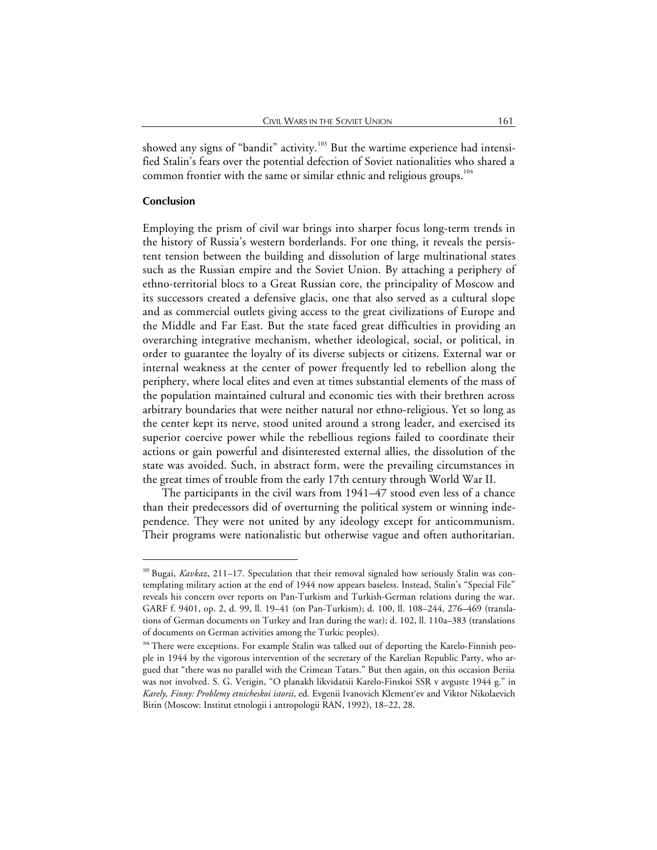showed any signs of "bandit" activity.<sup>103</sup> But the wartime experience had intensified Stalin's fears over the potential defection of Soviet nationalities who shared a common frontier with the same or similar ethnic and religious groups.<sup>104</sup>

#### **Conclusion**

Employing the prism of civil war brings into sharper focus long-term trends in the history of Russia's western borderlands. For one thing, it reveals the persistent tension between the building and dissolution of large multinational states such as the Russian empire and the Soviet Union. By attaching a periphery of ethno-territorial blocs to a Great Russian core, the principality of Moscow and its successors created a defensive glacis, one that also served as a cultural slope and as commercial outlets giving access to the great civilizations of Europe and the Middle and Far East. But the state faced great difficulties in providing an overarching integrative mechanism, whether ideological, social, or political, in order to guarantee the loyalty of its diverse subjects or citizens. External war or internal weakness at the center of power frequently led to rebellion along the periphery, where local elites and even at times substantial elements of the mass of the population maintained cultural and economic ties with their brethren across arbitrary boundaries that were neither natural nor ethno-religious. Yet so long as the center kept its nerve, stood united around a strong leader, and exercised its superior coercive power while the rebellious regions failed to coordinate their actions or gain powerful and disinterested external allies, the dissolution of the state was avoided. Such, in abstract form, were the prevailing circumstances in the great times of trouble from the early 17th century through World War II.

The participants in the civil wars from 1941–47 stood even less of a chance than their predecessors did of overturning the political system or winning independence. They were not united by any ideology except for anticommunism. Their programs were nationalistic but otherwise vague and often authoritarian.

<sup>&</sup>lt;sup>103</sup> Bugai, *Kavkaz*, 211–17. Speculation that their removal signaled how seriously Stalin was contemplating military action at the end of 1944 now appears baseless. Instead, Stalin's "Special File" reveals his concern over reports on Pan-Turkism and Turkish-German relations during the war. GARF f. 9401, op. 2, d. 99, ll. 19–41 (on Pan-Turkism); d. 100, ll. 108–244, 276–469 (translations of German documents on Turkey and Iran during the war); d. 102, ll. 110a–383 (translations of documents on German activities among the Turkic peoples).

<sup>&</sup>lt;sup>104</sup> There were exceptions. For example Stalin was talked out of deporting the Karelo-Finnish people in 1944 by the vigorous intervention of the secretary of the Karelian Republic Party, who argued that "there was no parallel with the Crimean Tatars." But then again, on this occasion Beriia was not involved. S. G. Verigin, "O planakh likvidatsii Karelo-Finskoi SSR v avguste 1944 g." in *Karely, Finny: Problemy etnicheskoi istorii*, ed. Evgenii Ivanovich Klement′ev and Viktor Nikolaevich Birin (Moscow: Institut etnologii i antropologii RAN, 1992), 18–22, 28.